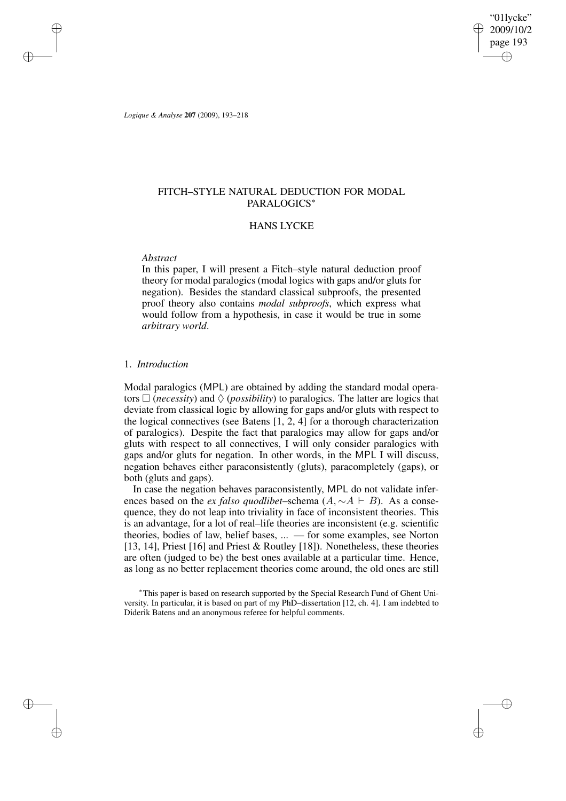"01lycke" 2009/10/2 page 193 ✐ ✐

✐

✐

*Logique & Analyse* **207** (2009), 193–218

✐

✐

✐

✐

# FITCH–STYLE NATURAL DEDUCTION FOR MODAL PARALOGICS<sup>∗</sup>

## HANS LYCKE

## *Abstract*

In this paper, I will present a Fitch–style natural deduction proof theory for modal paralogics (modal logics with gaps and/or gluts for negation). Besides the standard classical subproofs, the presented proof theory also contains *modal subproofs*, which express what would follow from a hypothesis, in case it would be true in some *arbitrary world*.

## 1. *Introduction*

Modal paralogics (MPL) are obtained by adding the standard modal operators  $\Box$  (*necessity*) and  $\Diamond$  (*possibility*) to paralogics. The latter are logics that deviate from classical logic by allowing for gaps and/or gluts with respect to the logical connectives (see Batens [1, 2, 4] for a thorough characterization of paralogics). Despite the fact that paralogics may allow for gaps and/or gluts with respect to all connectives, I will only consider paralogics with gaps and/or gluts for negation. In other words, in the MPL I will discuss, negation behaves either paraconsistently (gluts), paracompletely (gaps), or both (gluts and gaps).

In case the negation behaves paraconsistently, MPL do not validate inferences based on the *ex falso quodlibet*–schema  $(A, \sim A \vdash B)$ . As a consequence, they do not leap into triviality in face of inconsistent theories. This is an advantage, for a lot of real–life theories are inconsistent (e.g. scientific theories, bodies of law, belief bases, ... — for some examples, see Norton [13, 14], Priest [16] and Priest & Routley [18]). Nonetheless, these theories are often (judged to be) the best ones available at a particular time. Hence, as long as no better replacement theories come around, the old ones are still

<sup>∗</sup>This paper is based on research supported by the Special Research Fund of Ghent University. In particular, it is based on part of my PhD–dissertation [12, ch. 4]. I am indebted to Diderik Batens and an anonymous referee for helpful comments.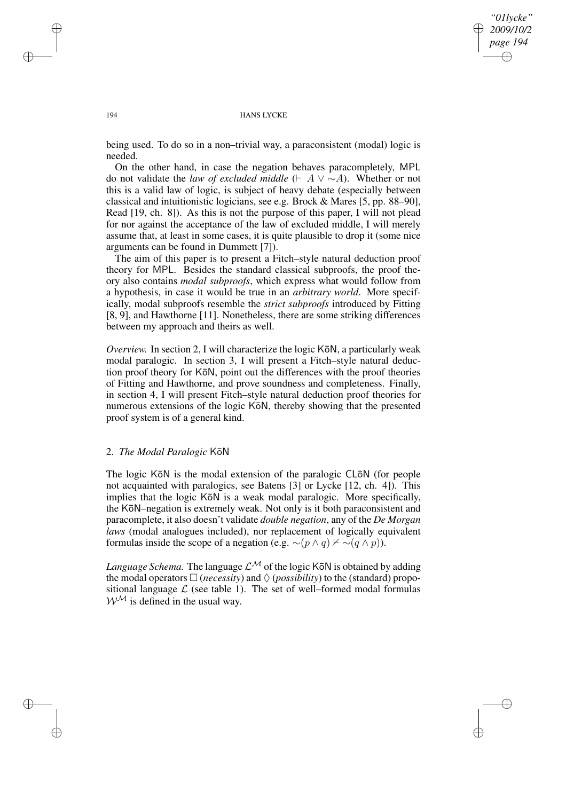*"01lycke" 2009/10/2 page 194* ✐ ✐

✐

✐

#### 194 HANS LYCKE

being used. To do so in a non–trivial way, a paraconsistent (modal) logic is needed.

On the other hand, in case the negation behaves paracompletely, MPL do not validate the *law of excluded middle* ( $\vdash A \lor \sim A$ ). Whether or not this is a valid law of logic, is subject of heavy debate (especially between classical and intuitionistic logicians, see e.g. Brock & Mares [5, pp. 88–90], Read [19, ch. 8]). As this is not the purpose of this paper, I will not plead for nor against the acceptance of the law of excluded middle, I will merely assume that, at least in some cases, it is quite plausible to drop it (some nice arguments can be found in Dummett [7]).

The aim of this paper is to present a Fitch–style natural deduction proof theory for MPL. Besides the standard classical subproofs, the proof theory also contains *modal subproofs*, which express what would follow from a hypothesis, in case it would be true in an *arbitrary world*. More specifically, modal subproofs resemble the *strict subproofs* introduced by Fitting [8, 9], and Hawthorne [11]. Nonetheless, there are some striking differences between my approach and theirs as well.

*Overview.* In section 2, I will characterize the logic KōN, a particularly weak modal paralogic. In section 3, I will present a Fitch–style natural deduction proof theory for KōN, point out the differences with the proof theories of Fitting and Hawthorne, and prove soundness and completeness. Finally, in section 4, I will present Fitch–style natural deduction proof theories for numerous extensions of the logic KoN, thereby showing that the presented proof system is of a general kind.

## 2. *The Modal Paralogic* K¯oN

The logic KōN is the modal extension of the paralogic CLōN (for people not acquainted with paralogics, see Batens [3] or Lycke [12, ch. 4]). This implies that the logic KōN is a weak modal paralogic. More specifically, the KōN–negation is extremely weak. Not only is it both paraconsistent and paracomplete, it also doesn't validate *double negation*, any of the *De Morgan laws* (modal analogues included), nor replacement of logically equivalent formulas inside the scope of a negation (e.g.  $\sim (p \wedge q) \nvdash \sim (q \wedge p)$ ).

*Language Schema*. The language  $\mathcal{L}^{\mathcal{M}}$  of the logic KōN is obtained by adding the modal operators  $\Box$  (*necessity*) and  $\Diamond$  (*possibility*) to the (standard) propositional language  $\mathcal L$  (see table 1). The set of well–formed modal formulas  $W^{\mathcal{M}}$  is defined in the usual way.

✐

✐

✐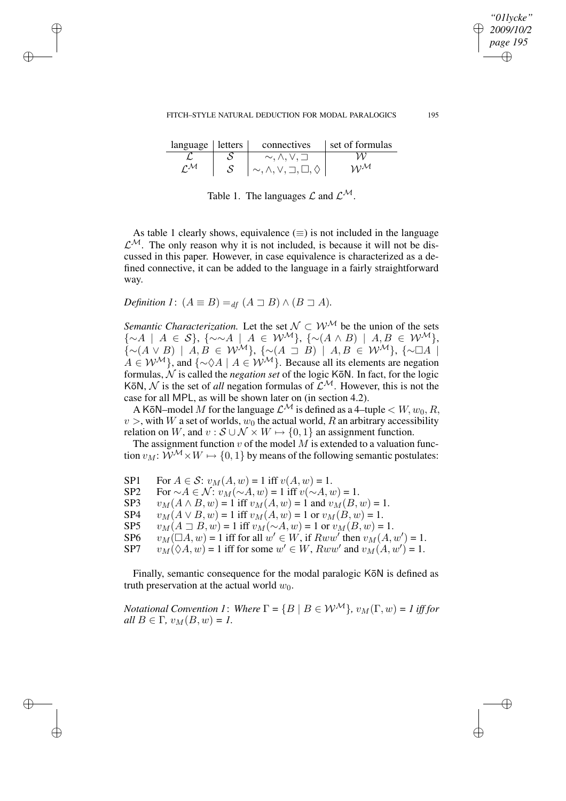| language letters |   | connectives                                     | set of formulas   |
|------------------|---|-------------------------------------------------|-------------------|
|                  |   | $\sim, \wedge, \vee, \sqsupset$                 |                   |
| $\mathcal{M}$    | S | $\sim, \wedge, \vee, \sqsupset, \Box, \lozenge$ | $W^{\mathcal{M}}$ |

Table 1. The languages  $\mathcal L$  and  $\mathcal L^{\mathcal M}$ .

As table 1 clearly shows, equivalence  $(\equiv)$  is not included in the language  $\mathcal{L}^{\mathcal{M}}$ . The only reason why it is not included, is because it will not be discussed in this paper. However, in case equivalence is characterized as a defined connective, it can be added to the language in a fairly straightforward way.

*Definition 1*:  $(A \equiv B) =_{df} (A \sqsupseteq B) \wedge (B \sqsupseteq A)$ *.* 

✐

✐

✐

✐

*Semantic Characterization.* Let the set  $N \subset W^{\mathcal{M}}$  be the union of the sets  $\{\sim A \mid A \in S\}, \ \{\sim \sim A \mid A \in \mathcal{W}^{\mathcal{M}}\}, \ \{\sim (A \land B) \mid A, B \in \mathcal{W}^{\mathcal{M}}\},\$  $\{\sim(A\vee B) \mid A, B \in \mathcal{W}^{\mathcal{M}}\}, \{\sim(A\supset B) \mid A, B \in \mathcal{W}^{\mathcal{M}}\}, \{\sim\Box A \mid$  $A \in \mathcal{W}^{\mathcal{M}}$ , and  $\{\sim \Diamond A \mid A \in \mathcal{W}^{\mathcal{M}}\}$ . Because all its elements are negation formulas,  $\hat{N}$  is called the *negation set* of the logic KōN. In fact, for the logic KōN,  $N$  is the set of *all* negation formulas of  $\mathcal{L}^{\mathcal{M}}$ . However, this is not the case for all MPL, as will be shown later on (in section 4.2).

A KōN–model M for the language  $\mathcal{L}^{\mathcal{M}}$  is defined as a 4–tuple  $\lt W, w_0, R$ ,  $v >$ , with W a set of worlds,  $w_0$  the actual world, R an arbitrary accessibility relation on W, and  $v : \mathcal{S} \cup \mathcal{N} \times W \mapsto \{0, 1\}$  an assignment function.

The assignment function  $v$  of the model  $\overline{M}$  is extended to a valuation function  $v_M: \mathcal{W}^M \times W \mapsto \{0, 1\}$  by means of the following semantic postulates:

| SP1  | For $A \in \mathcal{S}$ : $v_M(A, w) = 1$ iff $v(A, w) = 1$ .                    |
|------|----------------------------------------------------------------------------------|
| SP2  | For $\sim A \in \mathcal{N}$ : $v_M(\sim A, w) = 1$ iff $v(\sim A, w) = 1$ .     |
| SP3  | $v_M(A \wedge B, w) = 1$ iff $v_M(A, w) = 1$ and $v_M(B, w) = 1$ .               |
| SP4  | $v_M(A \vee B, w) = 1$ iff $v_M(A, w) = 1$ or $v_M(B, w) = 1$ .                  |
| SP5. | $v_M(A \supset B, w) = 1$ iff $v_M(\sim A, w) = 1$ or $v_M(B, w) = 1$ .          |
| SP6. | $v_M(\Box A, w) = 1$ iff for all $w' \in W$ , if $Rww'$ then $v_M(A, w') = 1$ .  |
| SP7  | $v_M(\Diamond A, w) = 1$ iff for some $w' \in W$ , $Rww'$ and $v_M(A, w') = 1$ . |
|      |                                                                                  |

Finally, semantic consequence for the modal paralogic Kon is defined as truth preservation at the actual world  $w_0$ .

*Notational Convention 1: Where*  $\Gamma = \{B \mid B \in \mathcal{W}^{\mathcal{M}}\}, v_{\mathcal{M}}(\Gamma, w) = 1$  *iff for*  $all B \in \Gamma$ ,  $v_M(B, w) = 1$ .

 $\mathbf{1}$ .

*"01lycke" 2009/10/2 page 195*

✐

✐

✐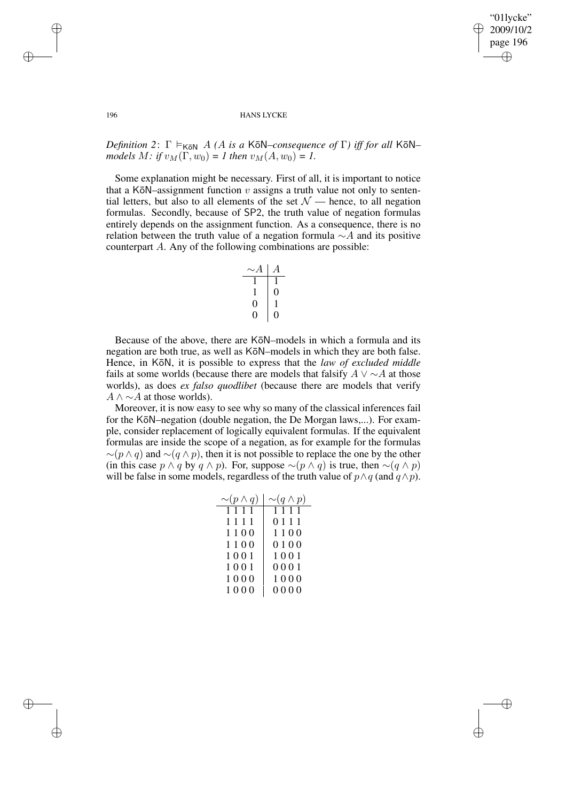✐

#### 196 HANS LYCKE

*Definition* 2:  $\Gamma \models_{K\bar{o}N} A(A \text{ is a K\bar{o}N-consequence of } \Gamma)$  *iff for all* K $\bar{o}N$ *models*  $M:$  *if*  $v_M(\Gamma, w_0) = I$  *then*  $v_M(A, w_0) = I$ .

Some explanation might be necessary. First of all, it is important to notice that a KōN–assignment function  $v$  assigns a truth value not only to sentential letters, but also to all elements of the set  $\mathcal{N}$  — hence, to all negation formulas. Secondly, because of SP2, the truth value of negation formulas entirely depends on the assignment function. As a consequence, there is no relation between the truth value of a negation formula  $\sim$ A and its positive counterpart A. Any of the following combinations are possible:

$$
\begin{array}{c|cc}\n\sim & A & A \\
\hline\n1 & 1 & 0 \\
1 & 0 & 1 \\
0 & 0 & 0\n\end{array}
$$

Because of the above, there are KōN–models in which a formula and its negation are both true, as well as KōN–models in which they are both false. Hence, in KōN, it is possible to express that the *law of excluded middle* fails at some worlds (because there are models that falsify  $A \vee \sim A$  at those worlds), as does *ex falso quodlibet* (because there are models that verify  $A \wedge \sim A$  at those worlds).

Moreover, it is now easy to see why so many of the classical inferences fail for the KōN–negation (double negation, the De Morgan laws,...). For example, consider replacement of logically equivalent formulas. If the equivalent formulas are inside the scope of a negation, as for example for the formulas  $∼(p \wedge q)$  and  $∼(q \wedge p)$ , then it is not possible to replace the one by the other (in this case  $p \wedge q$  by  $q \wedge p$ ). For, suppose ∼( $p \wedge q$ ) is true, then ∼( $q \wedge p$ ) will be false in some models, regardless of the truth value of  $p \wedge q$  (and  $q \wedge p$ ).

| $\sim (p \wedge q)$ | $\sim (q \wedge p)$ |
|---------------------|---------------------|
| 1111                | 1111                |
| 1111                | 0111                |
| 1100                | 1100                |
| 1100                | 0100                |
| 1001                | 1001                |
| 1001                | 0001                |
| 1000                | 1000                |
| 1000                | 0000                |

✐

✐

✐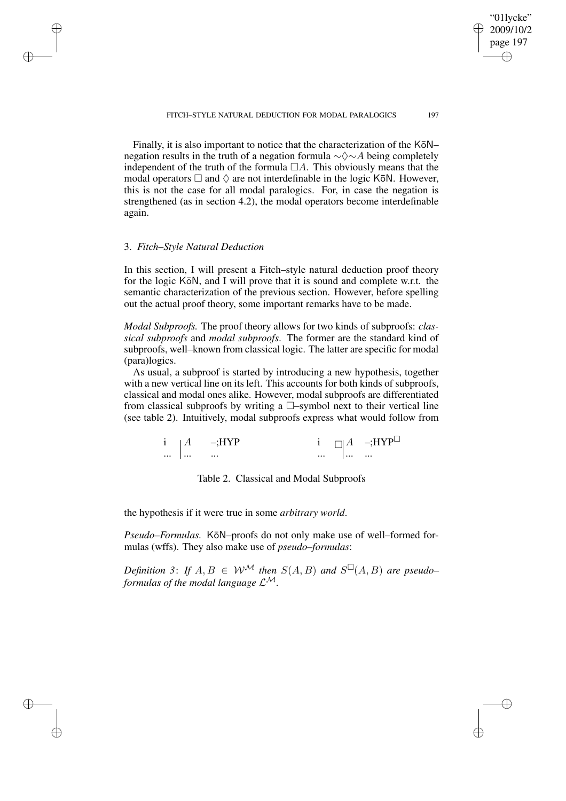Finally, it is also important to notice that the characterization of the KōN– negation results in the truth of a negation formula  $\sim \Diamond \sim A$  being completely independent of the truth of the formula  $\Box A$ . This obviously means that the modal operators  $\Box$  and  $\Diamond$  are not interdefinable in the logic KōN. However, this is not the case for all modal paralogics. For, in case the negation is strengthened (as in section 4.2), the modal operators become interdefinable again.

## 3. *Fitch–Style Natural Deduction*

✐

✐

✐

✐

In this section, I will present a Fitch–style natural deduction proof theory for the logic KōN, and I will prove that it is sound and complete w.r.t. the semantic characterization of the previous section. However, before spelling out the actual proof theory, some important remarks have to be made.

*Modal Subproofs.* The proof theory allows for two kinds of subproofs: *classical subproofs* and *modal subproofs*. The former are the standard kind of subproofs, well–known from classical logic. The latter are specific for modal (para)logics.

As usual, a subproof is started by introducing a new hypothesis, together with a new vertical line on its left. This accounts for both kinds of subproofs, classical and modal ones alike. However, modal subproofs are differentiated from classical subproofs by writing a  $\Box$ -symbol next to their vertical line (see table 2). Intuitively, modal subproofs express what would follow from

| $\cdots$ $\cdots$ | $\cdots$                | $\cdots$ . The state |  | $\cdots$                                       |
|-------------------|-------------------------|----------------------|--|------------------------------------------------|
|                   | $i \mid A \quad -; HYP$ |                      |  | $i \prod A$ -;HYP <sup><math>\Box</math></sup> |

Table 2. Classical and Modal Subproofs

the hypothesis if it were true in some *arbitrary world*.

Pseudo–Formulas. KōN–proofs do not only make use of well–formed formulas (wffs). They also make use of *pseudo–formulas*:

*Definition* 3: If  $A, B \in W^{\mathcal{M}}$  then  $S(A, B)$  and  $S^{\square}(A, B)$  are pseudo– *formulas of the modal language*  $\mathcal{L}^{\mathcal{M}}$ .

"01lycke" 2009/10/2 page 197 ✐ ✐

✐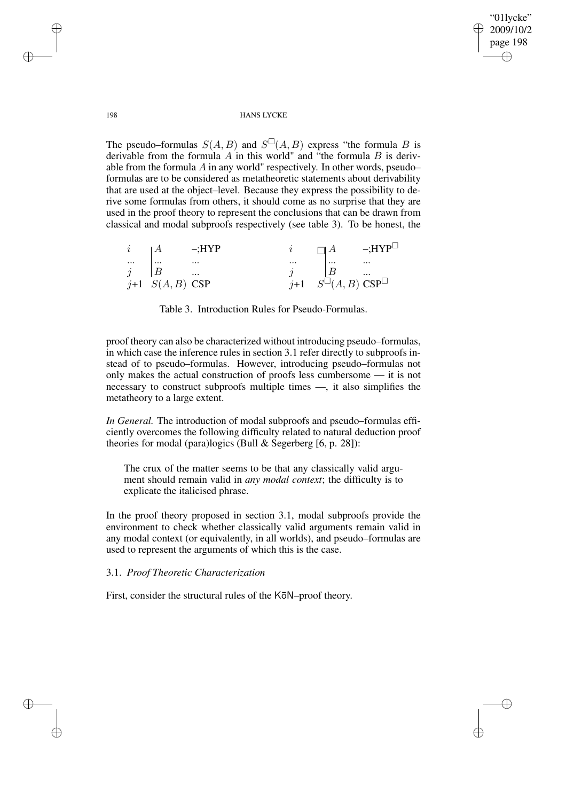✐

#### 198 HANS LYCKE

The pseudo–formulas  $S(A, B)$  and  $S^{\square}(A, B)$  express "the formula B is derivable from the formula  $\vec{A}$  in this world" and "the formula  $\vec{B}$  is derivable from the formula  $A$  in any world" respectively. In other words, pseudo– formulas are to be considered as metatheoretic statements about derivability that are used at the object–level. Because they express the possibility to derive some formulas from others, it should come as no surprise that they are used in the proof theory to represent the conclusions that can be drawn from classical and modal subproofs respectively (see table 3). To be honest, the

| $\iota$   | $\cdot$ A           | $-$ HYP  |          | $\Box A$                                  | $-$ HYP $\mathsf{H}$ |
|-----------|---------------------|----------|----------|-------------------------------------------|----------------------|
| $\ldots$  | $\cdots$            | $\cdots$ | $\cdots$ | $\cdots$                                  | $\cdots$             |
| $\vec{q}$ |                     | $\cdots$ |          | B                                         | $\cdots$             |
|           | $j+1$ $S(A, B)$ CSP |          | $i+1$    | $S^{\square}(A,B) \; {\rm CSP}^{\square}$ |                      |

Table 3. Introduction Rules for Pseudo-Formulas.

proof theory can also be characterized without introducing pseudo–formulas, in which case the inference rules in section 3.1 refer directly to subproofs instead of to pseudo–formulas. However, introducing pseudo–formulas not only makes the actual construction of proofs less cumbersome — it is not necessary to construct subproofs multiple times —, it also simplifies the metatheory to a large extent.

*In General.* The introduction of modal subproofs and pseudo–formulas efficiently overcomes the following difficulty related to natural deduction proof theories for modal (para)logics (Bull & Segerberg [6, p. 28]):

The crux of the matter seems to be that any classically valid argument should remain valid in *any modal context*; the difficulty is to explicate the italicised phrase.

In the proof theory proposed in section 3.1, modal subproofs provide the environment to check whether classically valid arguments remain valid in any modal context (or equivalently, in all worlds), and pseudo–formulas are used to represent the arguments of which this is the case.

## 3.1. *Proof Theoretic Characterization*

First, consider the structural rules of the KōN–proof theory.

✐

✐

✐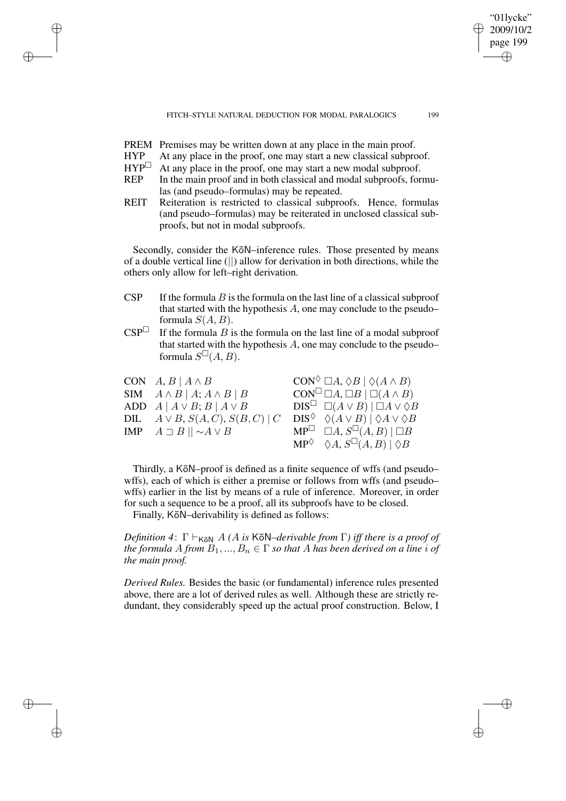PREM Premises may be written down at any place in the main proof.

✐

✐

✐

✐

- $HYP$  At any place in the proof, one may start a new classical subproof.<br> $HYP^{\square}$  At any place in the proof, one may start a new modal subproof.
- At any place in the proof, one may start a new modal subproof.
- REP In the main proof and in both classical and modal subproofs, formulas (and pseudo–formulas) may be repeated.
- REIT Reiteration is restricted to classical subproofs. Hence, formulas (and pseudo–formulas) may be reiterated in unclosed classical subproofs, but not in modal subproofs.

Secondly, consider the KōN–inference rules. Those presented by means of a double vertical line (||) allow for derivation in both directions, while the others only allow for left–right derivation.

- CSP If the formula B is the formula on the last line of a classical subproof that started with the hypothesis A, one may conclude to the pseudo– formula  $S(A, B)$ .
- $CSP^{\Box}$  If the formula B is the formula on the last line of a modal subproof that started with the hypothesis A, one may conclude to the pseudo– formula  $S^{\square}(A, B)$ .

| CON $A, B   A \wedge B$                     | $CON^{\Diamond} \square A, \Diamond B \mid \Diamond (A \wedge B)$      |
|---------------------------------------------|------------------------------------------------------------------------|
| SIM $A \wedge B \mid A; A \wedge B \mid B$  | $CON^{\square} \square A, \square B \mid \square (A \wedge B)$         |
| ADD $A   A \vee B$ ; $B   A \vee B$         | $DIS^{\perp} \square (A \vee B)   \square A \vee \lozenge B$           |
| DIL $A \vee B, S(A, C), S(B, C) \mid C$     | $DIS^{\lozenge} \triangleleft (A \vee B)   \lozenge A \vee \lozenge B$ |
| IMP $A \sqsupset B \mid \mid \sim A \vee B$ | $MP^{\Box} \Box A, S^{\Box}(A, B)   \Box B$                            |
|                                             | $MP^{\lozenge} \triangleleft A, S^{\square}(A, B) \mid \lozenge B$     |

Thirdly, a KōN–proof is defined as a finite sequence of wffs (and pseudo– wffs), each of which is either a premise or follows from wffs (and pseudo– wffs) earlier in the list by means of a rule of inference. Moreover, in order for such a sequence to be a proof, all its subproofs have to be closed.

Finally, KōN–derivability is defined as follows:

*Definition* 4:  $\Gamma \vdash_{K\bar{o}N} A$  *(A is* K $\bar{o}N$ *–derivable from*  $\Gamma$ *) iff there is a proof of the formula* A *from*  $B_1, ..., B_n \in \Gamma$  *so that* A *has been derived on a line i of the main proof.*

*Derived Rules.* Besides the basic (or fundamental) inference rules presented above, there are a lot of derived rules as well. Although these are strictly redundant, they considerably speed up the actual proof construction. Below, I

"01lycke" 2009/10/2 page 199

✐

✐

✐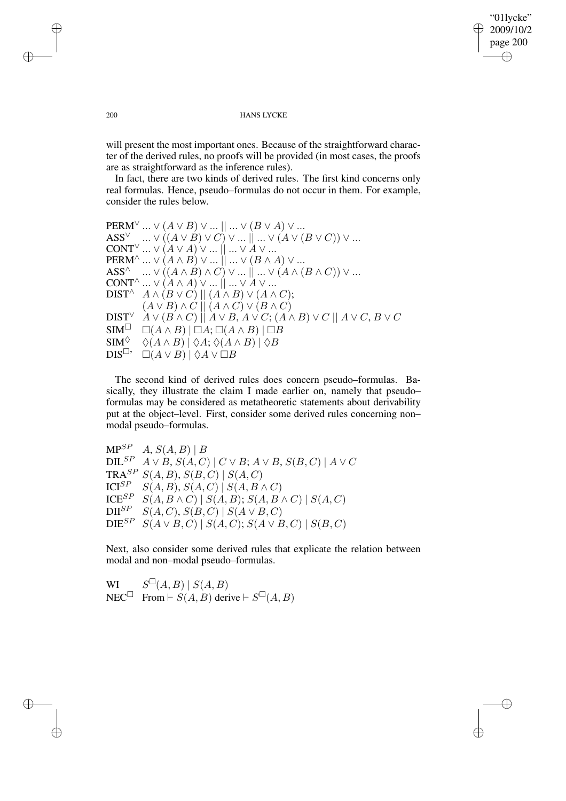"01lycke" 2009/10/2 page 200 ✐ ✐

✐

#### 200 HANS LYCKE

will present the most important ones. Because of the straightforward character of the derived rules, no proofs will be provided (in most cases, the proofs are as straightforward as the inference rules).

In fact, there are two kinds of derived rules. The first kind concerns only real formulas. Hence, pseudo–formulas do not occur in them. For example, consider the rules below.

 $PERM^{\vee} \dots \vee (A \vee B) \vee \dots || \dots \vee (B \vee A) \vee \dots$  $\mathsf{ASS}^\vee \quad ... \vee ((A \vee B) \vee C) \vee ... || ... \vee (A \vee (B \vee C)) \vee ...$  $\text{CONT}^\vee \dots \vee (\mathring{A} \vee A) \vee \dots \mathring{\parallel} \dots \vee \mathring{A} \vee \dots$  $\mathrm{PERM}^\wedge$  ...  $\vee$   $(A \wedge B) \vee ...$   $|| \dots \vee (B \wedge A) \vee ...$  $\mathsf{ASS}^\wedge \quad ... \vee \hat ((A \wedge B) \wedge C) \vee ... |] ... \vee (A \wedge (B \wedge C)) \vee ...$  $\text{CONT}^\wedge$  ...  $\vee$   $(A \wedge A) \vee ...$   $\parallel ... \vee A \vee ...$ DIST<sup> $\wedge$ </sup>  $A \wedge (B \vee C) || (A \wedge B) \vee (A \wedge C);$  $(A \vee B) \wedge C || (A \wedge C) \vee (B \wedge C)$ DIST<sup>∨</sup>  $A \vee (B \wedge C) || A \vee B$ ,  $A \vee C$ ;  $(A \wedge B) \vee C || A \vee C$ ,  $B \vee C$ <br>SIM<sup> $\Box$ </sup>  $\Box (A \wedge B) || \Box A$ ;  $\Box (A \wedge B) || \Box B$  $\Box(A \land B) \mid \Box A; \Box(A \land B) \mid \Box B$  $\begin{array}{cc} \text{SIM}^{\Diamond} & \Diamond(A \land B) \overline{\phantom{aa}} \vert \Diamond A; \Diamond(A \land B) \overline{\phantom{aa}} \vert \Diamond B \overline{\phantom{aa}} \text{DIS}^{\Box}, & \Box(A \lor B) \overline{\phantom{aa}} \vert \Diamond A \lor \Box B \end{array}$  $\Box(A \vee B) \vert \Diamond A \vee \Box B$ 

The second kind of derived rules does concern pseudo–formulas. Basically, they illustrate the claim I made earlier on, namely that pseudo– formulas may be considered as metatheoretic statements about derivability put at the object–level. First, consider some derived rules concerning non– modal pseudo–formulas.

 $MP^{SP}$  A,  $S(A, B)$  | B DIL<sup>SP</sup>  $A \vee B$ ,  $S(A, C) \mid C \vee B$ ;  $A \vee B$ ,  $S(B, C) \mid A \vee C$ TRA<sup>SP</sup>  $S(A, B)$ ,  $S(B, C) | S(A, C)$ <br>
ICI<sup>SP</sup>  $S(A, B)$ ,  $S(A, C) | S(A, B)$ ICI<sup>SP</sup> S(A, B), S(A, C) | S(A, B ∧ C)<br>ICE<sup>SP</sup> S(A, B ∧ C) | S(A, B): S(A B) ICE<sup>SP</sup> S(A, B ∧ C) | S(A, B); S(A, B ∧ C) | S(A, C)<br>DII<sup>SP</sup> S(A, C), S(B, C) | S(A ∨ B, C)  $S(A, C), S(B, C) | S(A \vee B, C)$  $DIE^{SP}$   $S(A \vee B, C)$  |  $S(A, C)$ ;  $S(A \vee B, C)$  |  $S(B, C)$ 

Next, also consider some derived rules that explicate the relation between modal and non–modal pseudo–formulas.

WI  $S^{\square}(A, B) | S(A, B)$ NEC<sup> $\Box$ </sup> From  $\vdash S(A, B)$  derive  $\vdash S^{\Box}(A, B)$ 

✐

✐

✐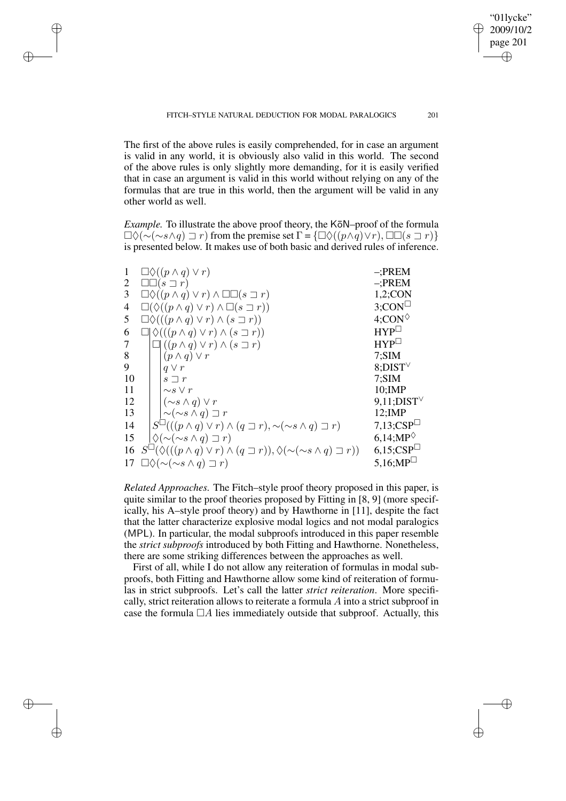"01lycke" 2009/10/2 page 201

✐

✐

✐

✐

The first of the above rules is easily comprehended, for in case an argument is valid in any world, it is obviously also valid in this world. The second of the above rules is only slightly more demanding, for it is easily verified that in case an argument is valid in this world without relying on any of the formulas that are true in this world, then the argument will be valid in any other world as well.

✐

✐

✐

✐

*Example.* To illustrate the above proof theory, the K $\bar{\text{o}}$ N–proof of the formula  $\Box \Diamond (\sim(\sim s \land q) \sqsupset r)$  from the premise set  $\Gamma = {\Box \Diamond ((p \land q) \lor r), \Box \Box (s \sqsupset r)}$ is presented below. It makes use of both basic and derived rules of inference.

| 1              | $\Box \Diamond ((p \land q) \lor r)$                                                                         | $-$ ;PREM                             |
|----------------|--------------------------------------------------------------------------------------------------------------|---------------------------------------|
| $\overline{2}$ | $\square\square(s\sqsupset r)$                                                                               | $-$ ;PREM                             |
| 3              | $\Box \Diamond ((p \land q) \lor r) \land \Box \Box (s \sqsupset r)$                                         | $1,2$ ;CON                            |
| 4              | $\Box(\Diamond((p \land q) \lor r) \land \Box(s \sqsupset r))$                                               | $3$ ;CON <sup><math>\Box</math></sup> |
| 5              | $\Box \Diamond (((p \land q) \lor r) \land (s \sqsupset r))$                                                 | $4;$ CON $\lozenge$                   |
| 6              | $\Box \Diamond (((p \land q) \lor r) \land (s \sqsupset r))$                                                 | $HYP^{\square}$                       |
| 7              | $\Box ((p \land q) \lor r) \land (s \sqsupset r)$                                                            | $HYP^{\square}$                       |
| 8              | $(p \wedge q) \vee r$                                                                                        | 7; SIM                                |
| 9              | $q \vee r$                                                                                                   | $8$ ;DIST $\vee$                      |
| 10             | $s \sqsupset r$                                                                                              | 7; SIM                                |
| 11             | $\sim s \vee r$                                                                                              | $10;$ IMP                             |
| 12             | $(\sim s \wedge q) \vee r$                                                                                   | $9,11$ ; DIST $\vee$                  |
| 13             | $\sim(\sim s \wedge q) \sqsupset r$                                                                          | $12;$ IMP                             |
| 14             | $S^{\square}((p \wedge q) \vee r) \wedge (q \sqsupset r), \sim(\sim s \wedge q) \sqsupset r)$                | $7,13;CSP^{\square}$                  |
| 15             | $\Diamond(\sim(\sim s \land q)\sqsupset r)$                                                                  | $6,14;MP^{\diamond}$                  |
| 16             | $S^{\square}(\lozenge((p \wedge q) \vee r) \wedge (q \sqsupset r)), \lozenge(\sim(s \wedge q) \sqsupset r))$ | $6,15;CSP^{\square}$                  |
|                | 17 $\Box \Diamond (\sim(\sim s \land q) \sqsupset r)$                                                        | $5,16;MP^{\square}$                   |

*Related Approaches.* The Fitch–style proof theory proposed in this paper, is quite similar to the proof theories proposed by Fitting in [8, 9] (more specifically, his A–style proof theory) and by Hawthorne in [11], despite the fact that the latter characterize explosive modal logics and not modal paralogics (MPL). In particular, the modal subproofs introduced in this paper resemble the *strict subproofs* introduced by both Fitting and Hawthorne. Nonetheless, there are some striking differences between the approaches as well.

First of all, while I do not allow any reiteration of formulas in modal subproofs, both Fitting and Hawthorne allow some kind of reiteration of formulas in strict subproofs. Let's call the latter *strict reiteration*. More specifically, strict reiteration allows to reiterate a formula A into a strict subproof in case the formula  $\Box A$  lies immediately outside that subproof. Actually, this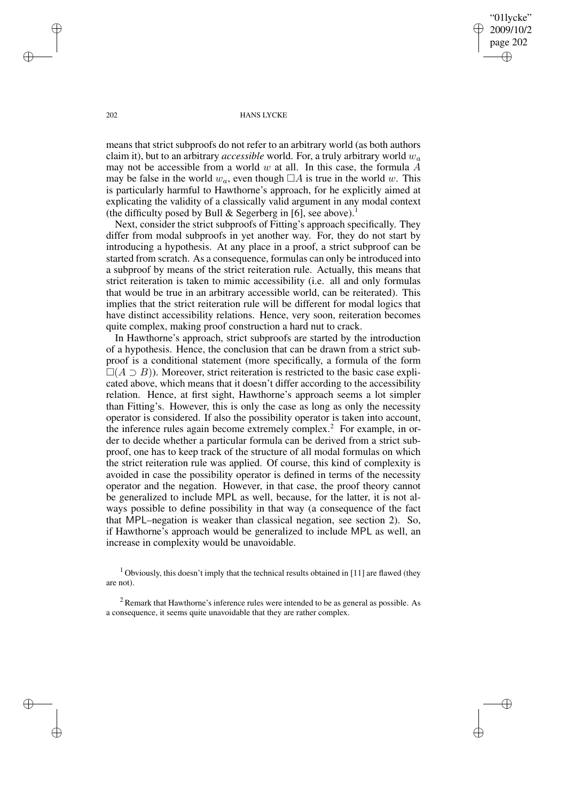"01lycke" 2009/10/2 page 202 ✐ ✐

✐

✐

#### 202 HANS LYCKE

means that strict subproofs do not refer to an arbitrary world (as both authors claim it), but to an arbitrary *accessible* world. For, a truly arbitrary world w<sup>a</sup> may not be accessible from a world  $w$  at all. In this case, the formula  $A$ may be false in the world  $w_a$ , even though  $\Box A$  is true in the world w. This is particularly harmful to Hawthorne's approach, for he explicitly aimed at explicating the validity of a classically valid argument in any modal context (the difficulty posed by Bull  $\&$  Segerberg in [6], see above).<sup>1</sup>

Next, consider the strict subproofs of Fitting's approach specifically. They differ from modal subproofs in yet another way. For, they do not start by introducing a hypothesis. At any place in a proof, a strict subproof can be started from scratch. As a consequence, formulas can only be introduced into a subproof by means of the strict reiteration rule. Actually, this means that strict reiteration is taken to mimic accessibility (i.e. all and only formulas that would be true in an arbitrary accessible world, can be reiterated). This implies that the strict reiteration rule will be different for modal logics that have distinct accessibility relations. Hence, very soon, reiteration becomes quite complex, making proof construction a hard nut to crack.

In Hawthorne's approach, strict subproofs are started by the introduction of a hypothesis. Hence, the conclusion that can be drawn from a strict subproof is a conditional statement (more specifically, a formula of the form  $\square(A \supset B)$ ). Moreover, strict reiteration is restricted to the basic case explicated above, which means that it doesn't differ according to the accessibility relation. Hence, at first sight, Hawthorne's approach seems a lot simpler than Fitting's. However, this is only the case as long as only the necessity operator is considered. If also the possibility operator is taken into account, the inference rules again become extremely complex.<sup>2</sup> For example, in order to decide whether a particular formula can be derived from a strict subproof, one has to keep track of the structure of all modal formulas on which the strict reiteration rule was applied. Of course, this kind of complexity is avoided in case the possibility operator is defined in terms of the necessity operator and the negation. However, in that case, the proof theory cannot be generalized to include MPL as well, because, for the latter, it is not always possible to define possibility in that way (a consequence of the fact that MPL–negation is weaker than classical negation, see section 2). So, if Hawthorne's approach would be generalized to include MPL as well, an increase in complexity would be unavoidable.

<sup>1</sup> Obviously, this doesn't imply that the technical results obtained in [11] are flawed (they are not).

 $2$  Remark that Hawthorne's inference rules were intended to be as general as possible. As a consequence, it seems quite unavoidable that they are rather complex.

✐

✐

✐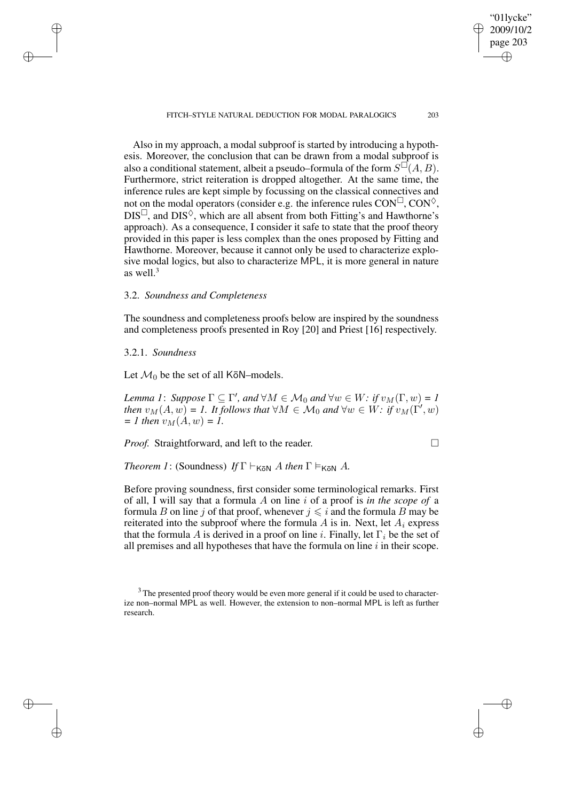FITCH–STYLE NATURAL DEDUCTION FOR MODAL PARALOGICS 203

"01lycke" 2009/10/2 page 203

✐

✐

✐

✐

Also in my approach, a modal subproof is started by introducing a hypothesis. Moreover, the conclusion that can be drawn from a modal subproof is also a conditional statement, albeit a pseudo–formula of the form  $S^{\square}(A, B)$ . Furthermore, strict reiteration is dropped altogether. At the same time, the inference rules are kept simple by focussing on the classical connectives and not on the modal operators (consider e.g. the inference rules  $CON^{\Box}$ ,  $CON^{\Diamond}$ ,  $DIS^{\Box}$ , and  $DIS^{\Diamond}$ , which are all absent from both Fitting's and Hawthorne's approach). As a consequence, I consider it safe to state that the proof theory provided in this paper is less complex than the ones proposed by Fitting and Hawthorne. Moreover, because it cannot only be used to characterize explosive modal logics, but also to characterize MPL, it is more general in nature as well.<sup>3</sup>

## 3.2. *Soundness and Completeness*

The soundness and completeness proofs below are inspired by the soundness and completeness proofs presented in Roy [20] and Priest [16] respectively.

## 3.2.1. *Soundness*

✐

✐

✐

✐

Let  $\mathcal{M}_0$  be the set of all KōN–models.

*Lemma* 1: *Suppose*  $\Gamma \subseteq \Gamma'$ , *and*  $\forall M \in \mathcal{M}_0$  *and*  $\forall w \in W$ : *if*  $v_M(\Gamma, w) = 1$ *then*  $v_M(A, w) = I$ . *It follows that*  $\forall M \in \mathcal{M}_0$  *and*  $\forall w \in W$ : *if*  $v_M(\Gamma', w)$  $=$  *1 then*  $v_M(A, w) = 1$ .

*Proof.* Straightforward, and left to the reader.

*Theorem 1*: (Soundness) *If*  $\Gamma \vdash_{K\overline{o}N} A$  *then*  $\Gamma \models_{K\overline{o}N} A$ *.* 

Before proving soundness, first consider some terminological remarks. First of all, I will say that a formula A on line i of a proof is *in the scope of* a formula B on line j of that proof, whenever  $j \leq i$  and the formula B may be reiterated into the subproof where the formula  $A$  is in. Next, let  $A_i$  express that the formula A is derived in a proof on line i. Finally, let  $\Gamma_i$  be the set of all premises and all hypotheses that have the formula on line  $i$  in their scope.

<sup>&</sup>lt;sup>3</sup> The presented proof theory would be even more general if it could be used to characterize non–normal MPL as well. However, the extension to non–normal MPL is left as further research.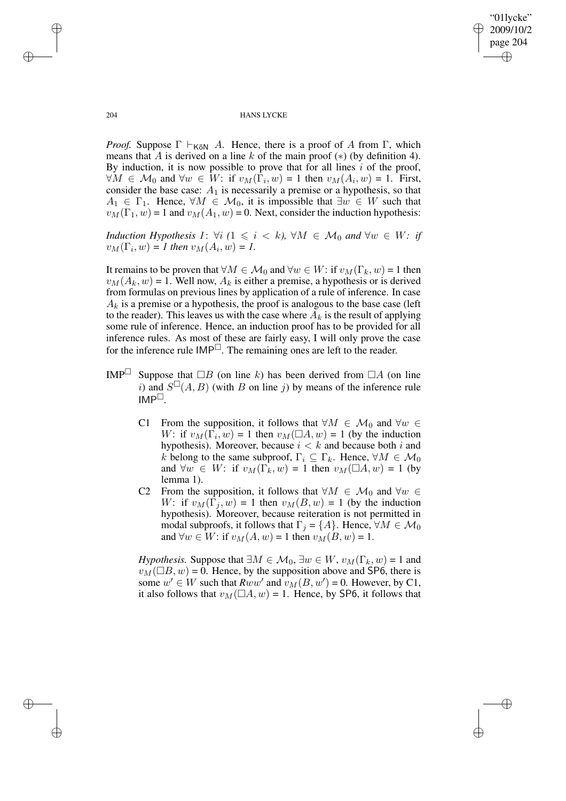✐

#### 204 HANS LYCKE

*Proof.* Suppose  $\Gamma \vdash_{K\bar{o}N} A$ . Hence, there is a proof of A from  $\Gamma$ , which means that A is derived on a line k of the main proof  $(*)$  (by definition 4). By induction, it is now possible to prove that for all lines  $i$  of the proof,  $\forall M \in \mathcal{M}_0$  and  $\forall w \in W$ : if  $v_M(\Gamma_i, w) = 1$  then  $v_M(A_i, w) = 1$ . First, consider the base case:  $A_1$  is necessarily a premise or a hypothesis, so that  $A_1 \in \Gamma_1$ . Hence,  $\forall M \in \mathcal{M}_0$ , it is impossible that  $\exists w \in W$  such that  $v_M(\Gamma_1, w) = 1$  and  $v_M(A_1, w) = 0$ . Next, consider the induction hypothesis:

*Induction Hypothesis 1*:  $\forall i$  *(*1  $\leq i \leq k$ *),*  $\forall M \in \mathcal{M}_0$  *and*  $\forall w \in W$ *: if*  $v_M(\Gamma_i, w) = 1$  then  $v_M(A_i, w) = 1$ .

It remains to be proven that  $\forall M \in \mathcal{M}_0$  and  $\forall w \in W$ : if  $v_M(\Gamma_k, w) = 1$  then  $v_M(A_k, w) = 1$ . Well now,  $A_k$  is either a premise, a hypothesis or is derived from formulas on previous lines by application of a rule of inference. In case  $A_k$  is a premise or a hypothesis, the proof is analogous to the base case (left to the reader). This leaves us with the case where  $A_k$  is the result of applying some rule of inference. Hence, an induction proof has to be provided for all inference rules. As most of these are fairly easy, I will only prove the case for the inference rule  $IMP^{\square}$ . The remaining ones are left to the reader.

- IMP Suppose that  $\Box B$  (on line k) has been derived from  $\Box A$  (on line i) and  $S^{\square}(A, B)$  (with B on line j) by means of the inference rule  $IMP^{\Box}$ .
	- C1 From the supposition, it follows that  $\forall M \in \mathcal{M}_0$  and  $\forall w \in$ W: if  $v_M(\Gamma_i, w) = 1$  then  $v_M(\square A, w) = 1$  (by the induction hypothesis). Moreover, because  $i < k$  and because both i and k belong to the same subproof,  $\Gamma_i \subseteq \Gamma_k$ . Hence,  $\forall M \in \mathcal{M}_0$ and  $\forall w \in W$ : if  $v_M(\Gamma_k, w) = 1$  then  $v_M(\Box A, w) = 1$  (by lemma 1).
	- C2 From the supposition, it follows that  $\forall M \in \mathcal{M}_0$  and  $\forall w \in$ W: if  $v_M(\Gamma_j, w) = 1$  then  $v_M(B, w) = 1$  (by the induction hypothesis). Moreover, because reiteration is not permitted in modal subproofs, it follows that  $\Gamma_i = \{A\}$ . Hence,  $\forall M \in \mathcal{M}_0$ and  $\forall w \in W$ : if  $v_M(A, w) = 1$  then  $v_M(B, w) = 1$ .

*Hypothesis.* Suppose that  $\exists M \in \mathcal{M}_0, \exists w \in W, v_M(\Gamma_k, w) = 1$  and  $v_M(\Box B, w) = 0$ . Hence, by the supposition above and SP6, there is some  $w' \in W$  such that  $Rww'$  and  $v_M(B, w') = 0$ . However, by C1, it also follows that  $v_M(\Box A, w) = 1$ . Hence, by SP6, it follows that

✐

✐

✐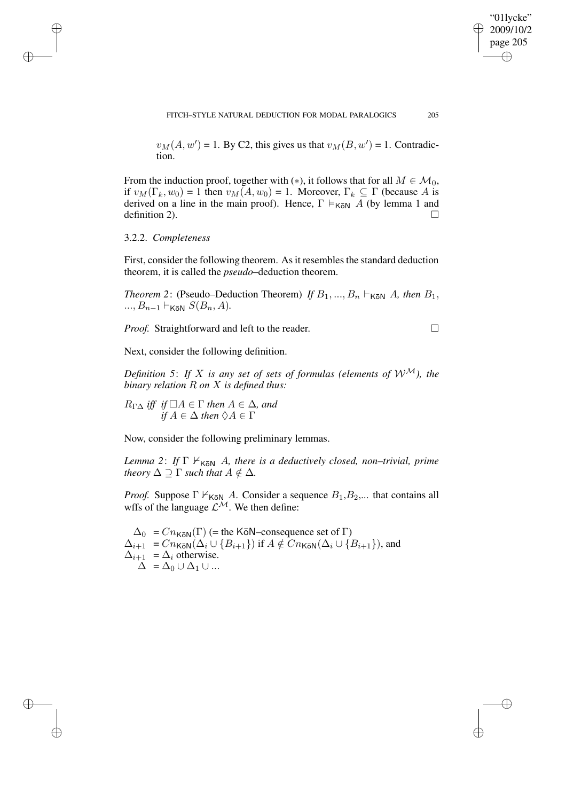$v_M(A, w') = 1$ . By C2, this gives us that  $v_M(B, w') = 1$ . Contradiction.

From the induction proof, together with (\*), it follows that for all  $M \in \mathcal{M}_0$ , if  $v_M(\Gamma_k, w_0) = 1$  then  $v_M(A, w_0) = 1$ . Moreover,  $\Gamma_k \subseteq \Gamma$  (because A is derived on a line in the main proof). Hence,  $\Gamma \models_{K\bar{o}N} A$  (by lemma 1 and definition 2).  $\Box$ 

3.2.2. *Completeness*

✐

✐

✐

✐

First, consider the following theorem. As it resembles the standard deduction theorem, it is called the *pseudo*–deduction theorem.

*Theorem* 2: (Pseudo–Deduction Theorem) *If*  $B_1, ..., B_n \vdash_{K\bar{o}N} A$ *, then*  $B_1$ *,* ...,  $B_{n-1}$   $\vdash_{K\bar{o}N} S(B_n, A)$ .

*Proof.* Straightforward and left to the reader.

Next, consider the following definition.

*Definition* 5: If X *is any set of sets of formulas (elements of*  $W^{\mathcal{M}}$ ), the *binary relation* R *on* X *is defined thus:*

 $R_{\Gamma\Delta}$  *iff if*  $\Box A \in \Gamma$  *then*  $A \in \Delta$ *, and if*  $A \in \Delta$  *then*  $\Diamond A \in \Gamma$ 

Now, consider the following preliminary lemmas.

*Lemma* 2: *If* Γ  $\nvDash$   $K_{\overline{6}N}$  *A, there is a deductively closed, non–trivial, prime theory*  $\Delta \supseteq \Gamma$  *such that*  $A \notin \Delta$ *.* 

*Proof.* Suppose  $\Gamma \nvDash_{K\overline{o}N} A$ . Consider a sequence  $B_1, B_2, ...$  that contains all wffs of the language  $\mathcal{L}^{\mathcal{M}}$ . We then define:

 $\Delta_0 = Cn_{K\bar{o}N}(\Gamma)$  (= the K $\bar{o}N$ –consequence set of  $\Gamma$ )  $\Delta_{i+1} = Cn_{K\bar{o}N}(\Delta_i \cup \{B_{i+1}\})$  if  $A \notin Cn_{K\bar{o}N}(\Delta_i \cup \{B_{i+1}\})$ , and  $\Delta_{i+1} = \Delta_i$  otherwise.  $\Delta = \Delta_0 \cup \Delta_1 \cup ...$ 

"01lycke" 2009/10/2 page 205

✐

✐

✐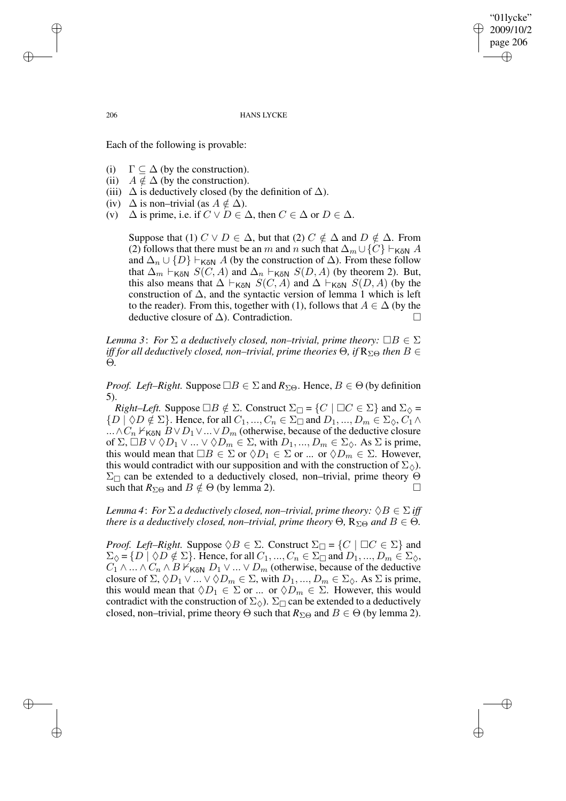page 206 ✐

✐

✐

"01lycke" 2009/10/2

✐

#### 206 HANS LYCKE

Each of the following is provable:

- (i)  $\Gamma \subseteq \Delta$  (by the construction).
- (ii)  $A \notin \Delta$  (by the construction).
- (iii)  $\Delta$  is deductively closed (by the definition of  $\Delta$ ).
- (iv)  $\Delta$  is non–trivial (as  $A \notin \Delta$ ).
- (v)  $\Delta$  is prime, i.e. if  $C \vee D \in \Delta$ , then  $C \in \Delta$  or  $D \in \Delta$ .

Suppose that (1)  $C \vee D \in \Delta$ , but that (2)  $C \notin \Delta$  and  $D \notin \Delta$ . From (2) follows that there must be an m and n such that  $\Delta_m \cup \{C\} \vdash_{K\bar{o}N} A$ and  $\Delta_n \cup \{D\} \vdash_{\text{K\"{o}N}} A$  (by the construction of  $\Delta$ ). From these follow that  $\Delta_m \vdash_{K\bar{o}N} S(C, A)$  and  $\Delta_n \vdash_{K\bar{o}N} S(D, A)$  (by theorem 2). But, this also means that  $\Delta \vdash_{\sf K\bar{o}N} S(C, A)$  and  $\Delta \vdash_{\sf K\bar{o}N} S(D, A)$  (by the construction of  $\Delta$ , and the syntactic version of lemma 1 which is left to the reader). From this, together with (1), follows that  $A \in \Delta$  (by the deductive closure of  $\Delta$ ). Contradiction.  $□$ 

*Lemma* 3: *For*  $\Sigma$  *a deductively closed, non–trivial, prime theory:*  $\Box B \in \Sigma$ *iff* for all deductively closed, non–trivial, prime theories  $\Theta$ , *if*  $R_{\Sigma\Theta}$  *then*  $B \in$ Θ*.*

*Proof. Left–Right.* Suppose  $\Box B \in \Sigma$  and  $R_{\Sigma\Theta}$ . Hence,  $B \in \Theta$  (by definition 5).

*Right–Left.* Suppose  $\Box B \notin \Sigma$ . Construct  $\Sigma_{\Box} = \{C \mid \Box C \in \Sigma\}$  and  $\Sigma_{\Diamond} =$  $\{D \mid \Diamond D \notin \Sigma\}$ . Hence, for all  $C_1, ..., C_n \in \Sigma_{\square}$  and  $D_1, ..., D_m \in \Sigma_{\Diamond}, C_1 \wedge$ ...∧ $C_n$   $\nvdash_{K\bar{o}N} B \lor D_1 \lor ... \lor D_m$  (otherwise, because of the deductive closure of  $\Sigma$ ,  $\Box B \lor \Diamond D_1 \lor ... \lor \Diamond D_m \in \Sigma$ , with  $D_1, ..., D_m \in \Sigma_{\Diamond}$ . As  $\Sigma$  is prime, this would mean that  $\Box B \in \Sigma$  or  $\Diamond D_1 \in \Sigma$  or ... or  $\Diamond D_m \in \Sigma$ . However, this would contradict with our supposition and with the construction of  $\Sigma_{\lozenge}$ ).  $\Sigma_{\Box}$  can be extended to a deductively closed, non–trivial, prime theory  $\Theta$ such that  $R_{\Sigma\Theta}$  and  $B \notin \Theta$  (by lemma 2).

*Lemma* 4: *For*  $\Sigma$  *a deductively closed, non–trivial, prime theory:*  $\Diamond B \in \Sigma$  *iff there is a deductively closed, non–trivial, prime theory*  $\Theta$ ,  $R_{\Sigma\Theta}$  *and*  $B \in \Theta$ .

*Proof. Left–Right.* Suppose  $\Diamond B \in \Sigma$ . Construct  $\Sigma_{\Box} = \{C \mid \Box C \in \Sigma\}$  and  $\Sigma_{\Diamond} = \{D \mid \Diamond D \notin \Sigma\}.$  Hence, for all  $C_1, ..., C_n \in \Sigma_{\Box}$  and  $D_1, ..., D_m \in \Sigma_{\Diamond}$ ,  $C_1 \wedge ... \wedge C_n \wedge B \nvdash_{K\bar{o}N} D_1 \vee ... \vee D_m$  (otherwise, because of the deductive closure of  $\Sigma$ ,  $\Diamond D_1 \lor ... \lor \Diamond D_m \in \Sigma$ , with  $D_1, ..., D_m \in \Sigma_{\Diamond}$ . As  $\Sigma$  is prime, this would mean that  $\Diamond D_1 \in \Sigma$  or ... or  $\Diamond D_m \in \Sigma$ . However, this would contradict with the construction of  $\Sigma_{\Diamond}$ ).  $\Sigma_{\Box}$  can be extended to a deductively closed, non–trivial, prime theory  $\Theta$  such that  $R_{\Sigma\Theta}$  and  $B \in \Theta$  (by lemma 2).

✐

✐

✐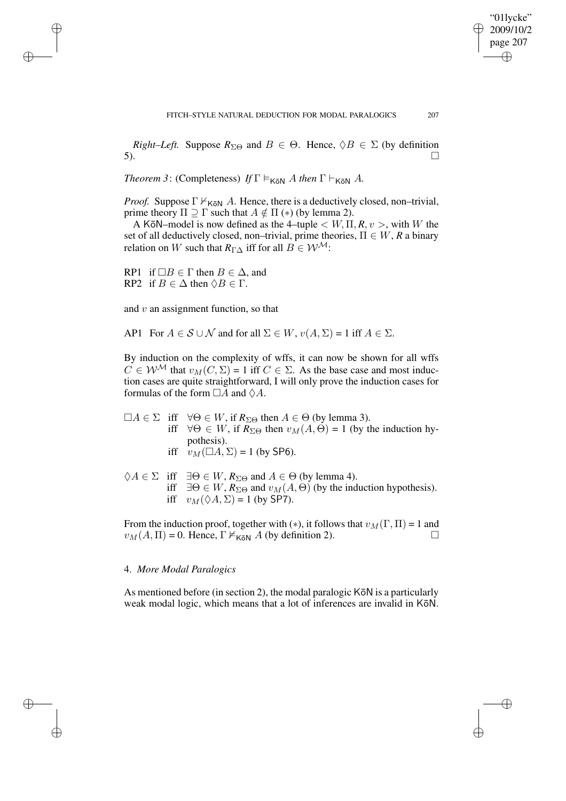"01lycke" 2009/10/2 page 207

✐

✐

✐

✐

*Right–Left.* Suppose  $R_{\Sigma\Theta}$  and  $B \in \Theta$ . Hence,  $\Diamond B \in \Sigma$  (by definition 5).  $\Box$ 

*Theorem* 3: (Completeness) *If*  $\Gamma \models_{K\bar{o}N} A$  *then*  $\Gamma \models_{K\bar{o}N} A$ .

*Proof.* Suppose  $\Gamma \nvDash_{K\overline{o}N} A$ . Hence, there is a deductively closed, non–trivial, prime theory  $\Pi \supseteq \Gamma$  such that  $A \notin \Pi$  (\*) (by lemma 2).

A K $\bar{\text{o}}$ N–model is now defined as the 4–tuple  $\lt W$ ,  $\Pi$ ,  $R$ ,  $v$   $>$ , with W the set of all deductively closed, non–trivial, prime theories,  $\Pi \in W$ , R a binary relation on W such that  $R_{\Gamma}$  iff for all  $B \in \mathcal{W}^{\mathcal{M}}$ :

RP1 if  $\Box B \in \Gamma$  then  $B \in \Delta$ , and RP2 if  $B \in \Delta$  then  $\Diamond B \in \Gamma$ .

✐

✐

✐

✐

and  $v$  an assignment function, so that

AP1 For  $A \in \mathcal{S} \cup \mathcal{N}$  and for all  $\Sigma \in W$ ,  $v(A, \Sigma) = 1$  iff  $A \in \Sigma$ .

By induction on the complexity of wffs, it can now be shown for all wffs  $C \in W^{\mathcal{M}}$  that  $v_M(C, \Sigma) = 1$  iff  $C \in \Sigma$ . As the base case and most induction cases are quite straightforward, I will only prove the induction cases for formulas of the form  $\Box A$  and  $\Diamond A$ .

 $\Box A \in \Sigma$  iff  $\forall \Theta \in W$ , if  $R_{\Sigma \Theta}$  then  $A \in \Theta$  (by lemma 3). iff  $\forall \Theta \in W$ , if  $R_{\Sigma\Theta}$  then  $v_M(A, \Theta) = 1$  (by the induction hypothesis). iff  $v_M(\Box A, \Sigma) = 1$  (by SP6).

 $\Diamond A \in \Sigma$  iff  $\exists \Theta \in W$ ,  $R_{\Sigma \Theta}$  and  $A \in \Theta$  (by lemma 4). iff  $\exists \Theta \in W$ ,  $R_{\Sigma \Theta}$  and  $v_M(A, \Theta)$  (by the induction hypothesis). iff  $v_M(\Diamond A, \Sigma) = 1$  (by SP7).

From the induction proof, together with (\*), it follows that  $v_M(\Gamma, \Pi) = 1$  and  $v_M(A, \Pi) = 0$ . Hence,  $\Gamma \nvDash_{K\bar{o}N} A$  (by definition 2).

## 4. *More Modal Paralogics*

As mentioned before (in section 2), the modal paralogic  $K\bar{\sigma}N$  is a particularly weak modal logic, which means that a lot of inferences are invalid in KōN.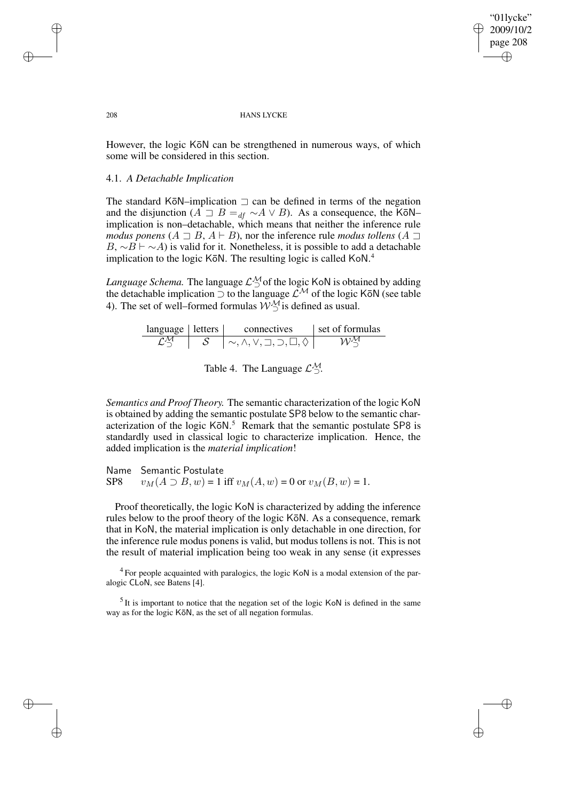✐

#### 208 HANS LYCKE

However, the logic KōN can be strengthened in numerous ways, of which some will be considered in this section.

## 4.1. *A Detachable Implication*

The standard KōN–implication  $\sqsupset$  can be defined in terms of the negation and the disjunction ( $A \supseteq B =_{df} ∼ A ∨ B$ ). As a consequence, the KōN– implication is non–detachable, which means that neither the inference rule *modus ponens*  $(A \sqsupset B, A \vdash B)$ , nor the inference rule *modus tollens*  $(A \sqsupset B, A \vdash B)$  $B, \sim B \vdash \sim A$ ) is valid for it. Nonetheless, it is possible to add a detachable implication to the logic KōN. The resulting logic is called KoN.<sup>4</sup>

*Language Schema*. The language  $\mathcal{L}_{\supset}^{\mathcal{M}}$  of the logic KoN is obtained by adding the detachable implication  $\supset$  to the language  $\mathcal{L}^{\mathcal{M}}$  of the logic KōN (see table 4). The set of well–formed formulas  $W^{\mathcal{M}}_{\supset}$  is defined as usual.

| language letters | connectives                                                | set of formulas |
|------------------|------------------------------------------------------------|-----------------|
|                  | $\sim, \wedge, \vee, \sqsupset, \supset, \sqcup, \lozenge$ | 11).M           |

Table 4. The Language  $\mathcal{L}_{\supset}^{\mathcal{M}}$ .

*Semantics and Proof Theory.* The semantic characterization of the logic KoN is obtained by adding the semantic postulate SP8 below to the semantic characterization of the logic  $K\bar{o}N$ .<sup>5</sup> Remark that the semantic postulate SP8 is standardly used in classical logic to characterize implication. Hence, the added implication is the *material implication*!

Name Semantic Postulate SP8  $v_M(A \supset B, w) = 1$  iff  $v_M(A, w) = 0$  or  $v_M(B, w) = 1$ .

Proof theoretically, the logic KoN is characterized by adding the inference rules below to the proof theory of the logic KōN. As a consequence, remark that in KoN, the material implication is only detachable in one direction, for the inference rule modus ponens is valid, but modus tollens is not. This is not the result of material implication being too weak in any sense (it expresses

 $4$  For people acquainted with paralogics, the logic KoN is a modal extension of the paralogic CLoN, see Batens [4].

 $<sup>5</sup>$  It is important to notice that the negation set of the logic KoN is defined in the same</sup> way as for the logic KōN, as the set of all negation formulas.

✐

✐

✐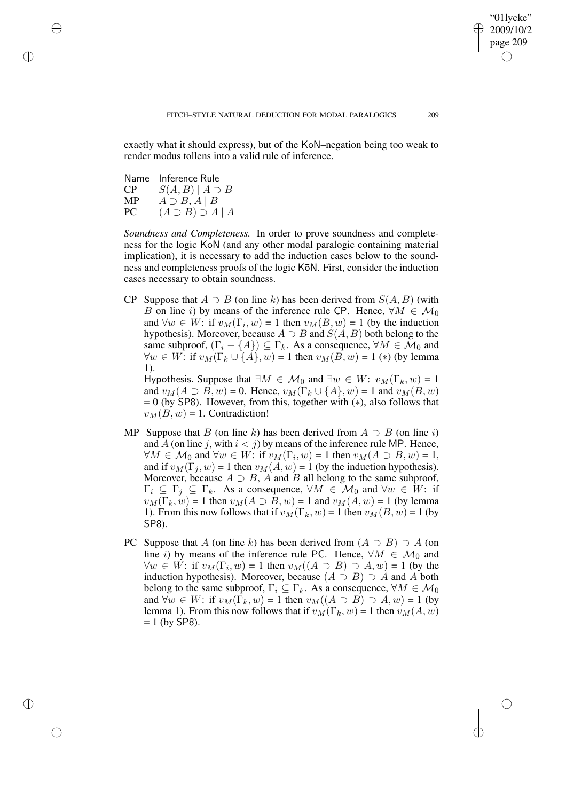"01lycke" 2009/10/2 page 209

✐

✐

✐

✐

exactly what it should express), but of the KoN–negation being too weak to render modus tollens into a valid rule of inference.

Name Inference Rule  $CP \tS(A, B) | A \supset B$ MP  $A \supset B$ ,  $A \mid B$ <br>PC  $(A \supset B) \supset A$  $(A \supset B) \supset A | A$ 

✐

✐

✐

✐

*Soundness and Completeness.* In order to prove soundness and completeness for the logic KoN (and any other modal paralogic containing material implication), it is necessary to add the induction cases below to the soundness and completeness proofs of the logic KōN. First, consider the induction cases necessary to obtain soundness.

CP Suppose that  $A \supset B$  (on line k) has been derived from  $S(A, B)$  (with B on line i) by means of the inference rule CP. Hence,  $\forall M \in \mathcal{M}_0$ and  $\forall w \in W$ : if  $v_M(\Gamma_i, w) = 1$  then  $v_M(B, w) = 1$  (by the induction hypothesis). Moreover, because  $A \supset B$  and  $S(A, B)$  both belong to the same subproof,  $(\Gamma_i - \{A\}) \subseteq \Gamma_k$ . As a consequence,  $\forall M \in \mathcal{M}_0$  and  $\forall w \in W$ : if  $v_M(\Gamma_k \cup \{A\}, w) = 1$  then  $v_M(B, w) = 1$  (\*) (by lemma 1).

Hypothesis. Suppose that  $\exists M \in \mathcal{M}_0$  and  $\exists w \in W: v_M(\Gamma_k, w) = 1$ and  $v_M(A \supset B, w) = 0$ . Hence,  $v_M(\Gamma_k \cup \{A\}, w) = 1$  and  $v_M(B, w)$  $= 0$  (by SP8). However, from this, together with  $(*)$ , also follows that  $v_M(B, w) = 1$ . Contradiction!

- MP Suppose that B (on line k) has been derived from  $A \supset B$  (on line i) and A (on line j, with  $i < j$ ) by means of the inference rule MP. Hence,  $\forall M \in \mathcal{M}_0$  and  $\forall w \in W$ : if  $v_M(\Gamma_i, w) = 1$  then  $v_M(A \supset B, w) = 1$ , and if  $v_M(\Gamma_i, w) = 1$  then  $v_M(A, w) = 1$  (by the induction hypothesis). Moreover, because  $A \supset B$ , A and B all belong to the same subproof,  $\Gamma_i \subseteq \Gamma_j \subseteq \Gamma_k$ . As a consequence,  $\forall M \in \mathcal{M}_0$  and  $\forall w \in W$ : if  $v_M(\Gamma_k, w) = 1$  then  $v_M(A \supset B, w) = 1$  and  $v_M(A, w) = 1$  (by lemma 1). From this now follows that if  $v_M(\Gamma_k, w) = 1$  then  $v_M(B, w) = 1$  (by SP8).
- PC Suppose that A (on line k) has been derived from  $(A \supset B) \supset A$  (on line i) by means of the inference rule PC. Hence,  $\forall M \in \mathcal{M}_0$  and  $\forall w \in W:$  if  $v_M(\Gamma_i, w) = 1$  then  $v_M((A \supset B) \supset A, w) = 1$  (by the induction hypothesis). Moreover, because  $(A \supset B) \supset A$  and A both belong to the same subproof,  $\Gamma_i \subseteq \Gamma_k$ . As a consequence,  $\forall M \in \mathcal{M}_0$ and  $\forall w \in W$ : if  $v_M(\Gamma_k, w) = 1$  then  $v_M((A \supset B) \supset A, w) = 1$  (by lemma 1). From this now follows that if  $v_M(\Gamma_k, w) = 1$  then  $v_M(A, w)$  $= 1$  (by SP8).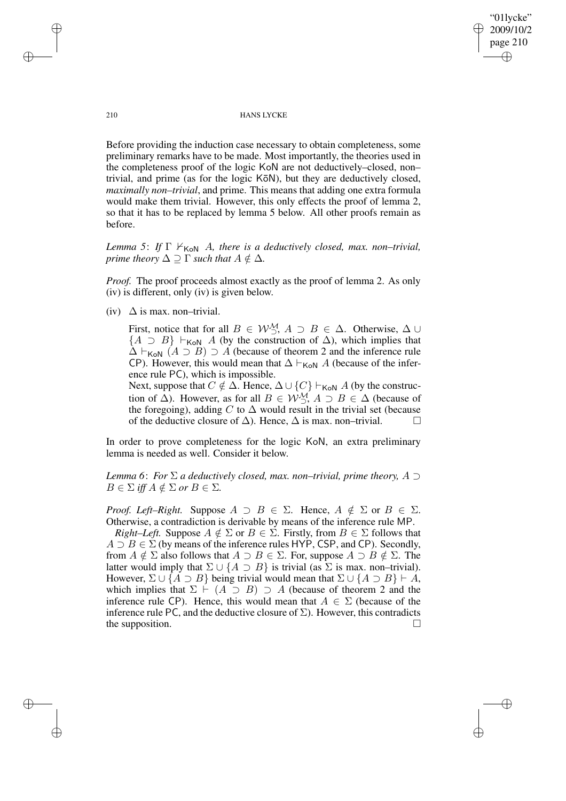"01lycke" 2009/10/2 page 210 ✐ ✐

✐

✐

#### 210 HANS LYCKE

Before providing the induction case necessary to obtain completeness, some preliminary remarks have to be made. Most importantly, the theories used in the completeness proof of the logic KoN are not deductively–closed, non– trivial, and prime (as for the logic K $\bar{o}$ N), but they are deductively closed, *maximally non–trivial*, and prime. This means that adding one extra formula would make them trivial. However, this only effects the proof of lemma 2, so that it has to be replaced by lemma 5 below. All other proofs remain as before.

*Lemma* 5: *If*  $\Gamma \nvDash_{K \circ N} A$ , *there is a deductively closed, max. non–trivial, prime theory*  $\Delta \supseteq \Gamma$  *such that*  $A \notin \Delta$ *.* 

*Proof.* The proof proceeds almost exactly as the proof of lemma 2. As only (iv) is different, only (iv) is given below.

(iv)  $\Delta$  is max. non–trivial.

First, notice that for all  $B \in \mathcal{W}_{\supset}^{\mathcal{M}}$ ,  $A \supset B \in \Delta$ . Otherwise,  $\Delta \cup$  ${A \supset B}$   $\vdash_{\text{KoN}} A$  (by the construction of  $\Delta$ ), which implies that  $\Delta \vdash_{\text{KoN}} (A \supset B) \supset A$  (because of theorem 2 and the inference rule CP). However, this would mean that  $\Delta \vdash_{\mathsf{K}\circ\mathsf{N}} A$  (because of the inference rule PC), which is impossible.

Next, suppose that  $C \notin \Delta$ . Hence,  $\Delta \cup \{C\} \vdash_{K \circ N} A$  (by the construction of  $\Delta$ ). However, as for all  $B \in \mathcal{W}_{\square}^{\mathcal{M}}$ ,  $A \supset B \in \Delta$  (because of the foregoing), adding C to  $\Delta$  would result in the trivial set (because of the deductive closure of  $\Delta$ ). Hence,  $\Delta$  is max. non–trivial.  $\Box$ 

In order to prove completeness for the logic KoN, an extra preliminary lemma is needed as well. Consider it below.

*Lemma 6*: *For* Σ *a deductively closed, max. non–trivial, prime theory,* A ⊃  $B \in \Sigma$  *iff*  $A \notin \Sigma$  *or*  $B \in \Sigma$ *.* 

*Proof. Left–Right.* Suppose  $A \supset B \in \Sigma$ . Hence,  $A \notin \Sigma$  or  $B \in \Sigma$ . Otherwise, a contradiction is derivable by means of the inference rule MP.

*Right–Left.* Suppose  $A \notin \Sigma$  or  $B \in \Sigma$ . Firstly, from  $B \in \Sigma$  follows that  $A \supset B \in \Sigma$  (by means of the inference rules HYP, CSP, and CP). Secondly, from  $A \notin \Sigma$  also follows that  $A \supset B \in \Sigma$ . For, suppose  $A \supset B \notin \Sigma$ . The latter would imply that  $\Sigma \cup \{A \supset B\}$  is trivial (as  $\Sigma$  is max. non–trivial). However,  $\Sigma \cup \{A \supset B\}$  being trivial would mean that  $\Sigma \cup \{A \supset B\} \vdash A$ , which implies that  $\Sigma \vdash (A \supset B) \supset A$  (because of theorem 2 and the inference rule CP). Hence, this would mean that  $A \in \Sigma$  (because of the inference rule PC, and the deductive closure of  $\Sigma$ ). However, this contradicts the supposition.  $\Box$ 

✐

✐

✐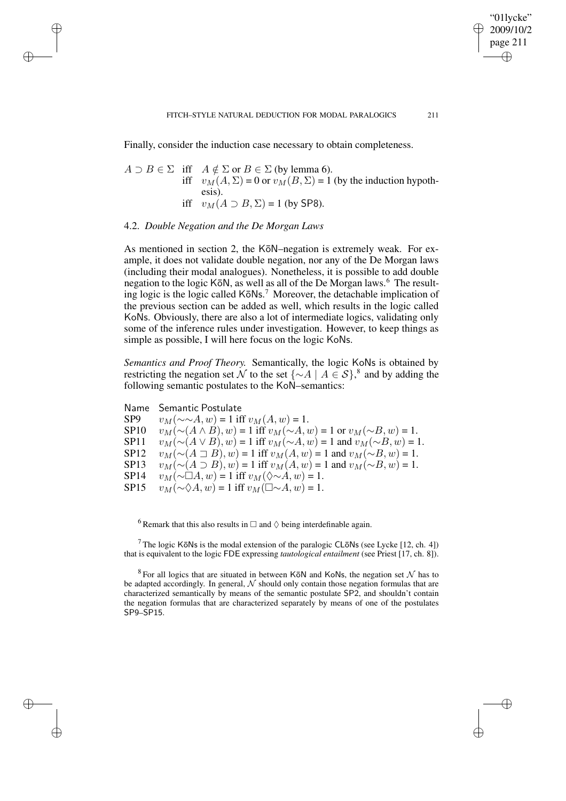Finally, consider the induction case necessary to obtain completeness.

$$
A \supset B \in \Sigma \quad \text{iff} \quad A \notin \Sigma \text{ or } B \in \Sigma \text{ (by lemma 6).}
$$
\n
$$
\text{iff} \quad v_M(A, \Sigma) = 0 \text{ or } v_M(B, \Sigma) = 1 \text{ (by the induction hypothesis).}
$$
\n
$$
\text{iff} \quad v_M(A \supset B, \Sigma) = 1 \text{ (by SP8).}
$$

## 4.2. *Double Negation and the De Morgan Laws*

✐

✐

✐

✐

As mentioned in section 2, the KōN–negation is extremely weak. For example, it does not validate double negation, nor any of the De Morgan laws (including their modal analogues). Nonetheless, it is possible to add double negation to the logic KōN, as well as all of the De Morgan laws.<sup>6</sup> The resulting logic is the logic called KoNs.<sup>7</sup> Moreover, the detachable implication of the previous section can be added as well, which results in the logic called KoNs. Obviously, there are also a lot of intermediate logics, validating only some of the inference rules under investigation. However, to keep things as simple as possible, I will here focus on the logic KoNs.

*Semantics and Proof Theory.* Semantically, the logic KoNs is obtained by restricting the negation set N to the set  $\{\sim A \mid A \in S\}$ ,<sup>8</sup> and by adding the following semantic postulates to the KoN–semantics:

Name Semantic Postulate SP9  $v_M(\sim \sim A, w) = 1$  iff  $v_M(A, w) = 1$ .<br>SP10  $v_M(\sim (A \wedge B), w) = 1$  iff  $v_M(\sim A, v)$ SP10  $v_M(\sim(A \wedge B), w) = 1$  iff  $v_M(\sim(A, w) = 1$  or  $v_M(\sim B, w) = 1$ .<br>SP11  $v_M(\sim(A \vee B), w) = 1$  iff  $v_M(\sim A, w) = 1$  and  $v_M(\sim B, w) = 1$ SP11  $v_M(\sim(A \vee B), w) = 1$  iff  $v_M(\sim A, w) = 1$  and  $v_M(\sim B, w) = 1$ . SP12  $v_M(\sim(A \sqsupset B), w) = 1$  iff  $v_M(A, w) = 1$  and  $v_M(\sim B, w) = 1$ . SP13  $v_M(\sim(A \supset B), w) = 1$  iff  $v_M(A, w) = 1$  and  $v_M(\sim B, w) = 1$ .<br>SP14  $v_M(\sim \Box A, w) = 1$  iff  $v_M(\sim \sim A, w) = 1$ . SP14  $v_M(\sim \Box A, w) = 1$  iff  $v_M(\lozenge \sim A, w) = 1$ .<br>SP15  $v_M(\sim \lozenge A, w) = 1$  iff  $v_M(\Box \sim A, w) = 1$ .  $v_M(\sim \Diamond A, w) = 1$  iff  $v_M(\Box \sim A, w) = 1$ .

 $^6$  Remark that this also results in  $\Box$  and  $\Diamond$  being interdefinable again.

<sup>7</sup> The logic KōNs is the modal extension of the paralogic CLōNs (see Lycke [12, ch. 4]) that is equivalent to the logic FDE expressing *tautological entailment* (see Priest [17, ch. 8]).

<sup>8</sup> For all logics that are situated in between KōN and KoNs, the negation set  $\mathcal N$  has to be adapted accordingly. In general,  $N$  should only contain those negation formulas that are characterized semantically by means of the semantic postulate SP2, and shouldn't contain the negation formulas that are characterized separately by means of one of the postulates SP9–SP15.

"01lycke" 2009/10/2 page 211

✐

✐

✐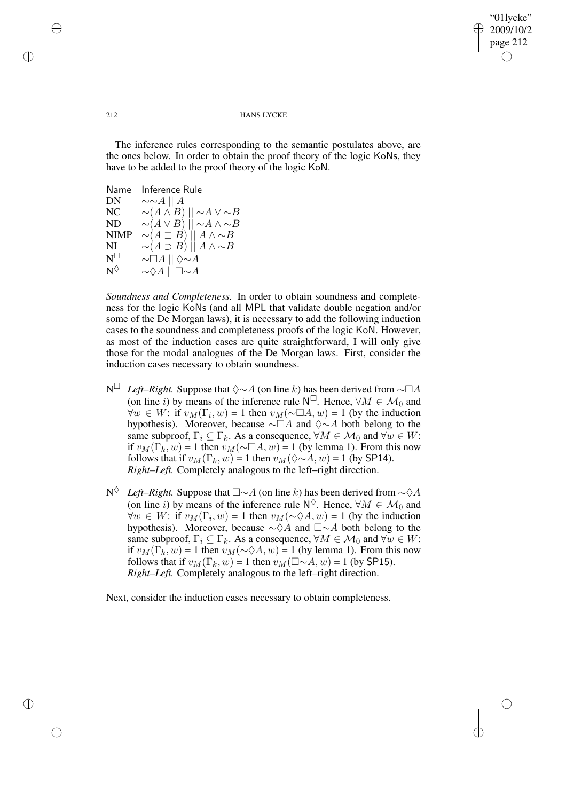✐

## 212 HANS LYCKE

The inference rules corresponding to the semantic postulates above, are the ones below. In order to obtain the proof theory of the logic KoNs, they have to be added to the proof theory of the logic KoN.

| Inference Rule                                    |
|---------------------------------------------------|
| $\sim \sim A \mid\mid A$                          |
| $\sim(A\wedge B)\mid\mid\sim A\vee\sim B$         |
| $\sim(A \vee B)$ $\mid \mid \sim A \wedge \sim B$ |
| $\sim(A \sqsupset B) \parallel A \wedge \sim B$   |
| $\sim(A \supset B)$    $A \wedge \sim B$          |
| $\sim\Box A\   \ \Diamond \!\!\sim\! A$           |
| $\sim \Diamond A \mid \mid \Box \sim A$           |
|                                                   |

*Soundness and Completeness.* In order to obtain soundness and completeness for the logic KoNs (and all MPL that validate double negation and/or some of the De Morgan laws), it is necessary to add the following induction cases to the soundness and completeness proofs of the logic KoN. However, as most of the induction cases are quite straightforward, I will only give those for the modal analogues of the De Morgan laws. First, consider the induction cases necessary to obtain soundness.

- N<sup> $□$ </sup> *Left–Right.* Suppose that  $\diamond \sim A$  (on line k) has been derived from  $\sim \square A$ (on line *i*) by means of the inference rule  $N^{\square}$ . Hence,  $\forall M \in \mathcal{M}_0$  and  $\forall w \in W$ : if  $v_M(\Gamma_i, w) = 1$  then  $v_M(\sim \Box A, w) = 1$  (by the induction hypothesis). Moreover, because  $\sim \Box A$  and  $\diamond \sim A$  both belong to the same subproof,  $\Gamma_i \subseteq \Gamma_k$ . As a consequence,  $\forall M \in \mathcal{M}_0$  and  $\forall w \in W$ : if  $v_M(\Gamma_k, w) = 1$  then  $v_M(\sim \Box A, w) = 1$  (by lemma 1). From this now follows that if  $v_M(\Gamma_k, w) = 1$  then  $v_M(\Diamond \sim A, w) = 1$  (by SP14). *Right–Left.* Completely analogous to the left–right direction.
- N<sup>◇</sup> *Left–Right*. Suppose that  $\square \sim A$  (on line k) has been derived from  $\sim \Diamond A$ (on line i) by means of the inference rule  $N^{\Diamond}$ . Hence,  $\forall M \in \mathcal{M}_0$  and  $\forall w \in W$ : if  $v_M(\Gamma_i, w) = 1$  then  $v_M(\sim \Diamond A, w) = 1$  (by the induction hypothesis). Moreover, because  $\sim \Diamond A$  and  $\square \sim A$  both belong to the same subproof,  $\Gamma_i \subseteq \Gamma_k$ . As a consequence,  $\forall M \in \mathcal{M}_0$  and  $\forall w \in W$ : if  $v_M(\Gamma_k, w) = 1$  then  $v_M(\sim \Diamond A, w) = 1$  (by lemma 1). From this now follows that if  $v_M(\Gamma_k, w) = 1$  then  $v_M(\square \sim A, w) = 1$  (by SP15). *Right–Left.* Completely analogous to the left–right direction.

Next, consider the induction cases necessary to obtain completeness.

✐

✐

✐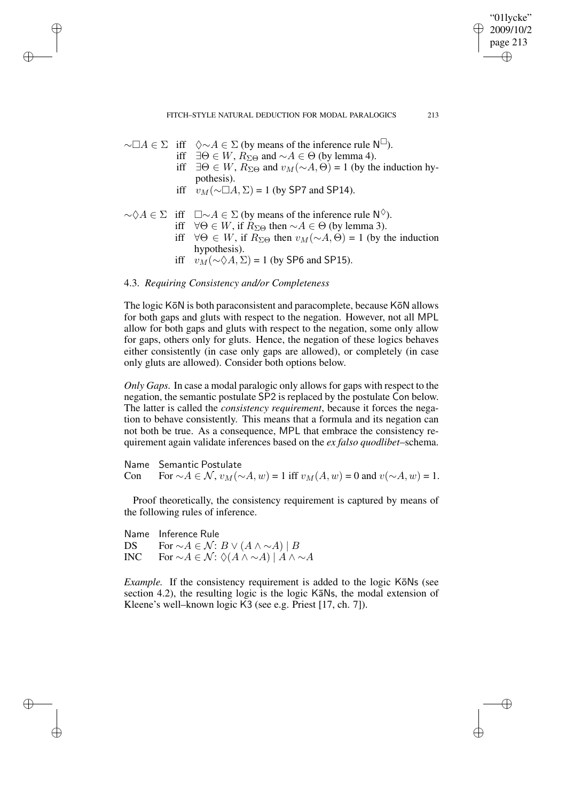"01lycke" 2009/10/2 page 213 ✐ ✐

✐

✐

- $\sim \Box A \in \Sigma$  iff  $\Diamond \sim A \in \Sigma$  (by means of the inference rule  $\mathsf{N}^{\square}$ ).
	- iff  $∃Θ ∈ W$ ,  $R_{ΣΘ}$  and ∼ $A ∈ Θ$  (by lemma 4).
	- iff  $∃Θ ∈ W$ ,  $R_{ΣΘ}$  and  $v_M(∼A, Θ) = 1$  (by the induction hypothesis).
	- iff  $v_M(\sim \Box A, \Sigma) = 1$  (by SP7 and SP14).
- $\sim \Diamond A \in \Sigma$  iff  $\square \sim A \in \Sigma$  (by means of the inference rule  $\mathsf{N}^{\Diamond}$ ).
	- iff  $\forall \Theta \in W$ , if  $R_{\Sigma\Theta}$  then  $\sim A \in \Theta$  (by lemma 3).
		- iff  $\forall \Theta \in W$ , if  $R_{\Sigma \Theta}$  then  $v_M(\sim A, \Theta) = 1$  (by the induction hypothesis).
		- iff  $v_M(\sim \Diamond A, \Sigma) = 1$  (by SP6 and SP15).

# 4.3. *Requiring Consistency and/or Completeness*

✐

✐

✐

✐

The logic KōN is both paraconsistent and paracomplete, because KōN allows for both gaps and gluts with respect to the negation. However, not all MPL allow for both gaps and gluts with respect to the negation, some only allow for gaps, others only for gluts. Hence, the negation of these logics behaves either consistently (in case only gaps are allowed), or completely (in case only gluts are allowed). Consider both options below.

*Only Gaps.* In case a modal paralogic only allows for gaps with respect to the negation, the semantic postulate SP2 is replaced by the postulate Con below. The latter is called the *consistency requirement*, because it forces the negation to behave consistently. This means that a formula and its negation can not both be true. As a consequence, MPL that embrace the consistency requirement again validate inferences based on the *ex falso quodlibet*–schema.

Name Semantic Postulate Con For  $\sim A \in \mathcal{N}$ ,  $v_M(\sim A, w) = 1$  iff  $v_M(A, w) = 0$  and  $v(\sim A, w) = 1$ .

Proof theoretically, the consistency requirement is captured by means of the following rules of inference.

Name Inference Rule DS For  $\sim A \in \mathcal{N}$ :  $B \vee (A \wedge \sim A) | B$ INC For  $\sim A \in \mathcal{N}: \Diamond(A \wedge \sim A) | A \wedge \sim A$ 

*Example.* If the consistency requirement is added to the logic KōNs (see section 4.2), the resulting logic is the logic KaNs, the modal extension of Kleene's well–known logic K3 (see e.g. Priest [17, ch. 7]).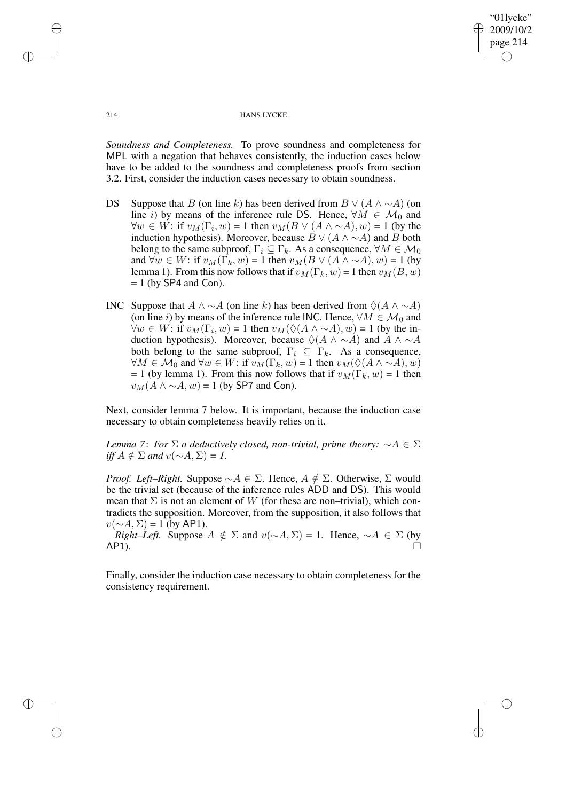"01lycke" 2009/10/2 page 214 ✐ ✐

✐

✐

#### 214 HANS LYCKE

*Soundness and Completeness.* To prove soundness and completeness for MPL with a negation that behaves consistently, the induction cases below have to be added to the soundness and completeness proofs from section 3.2. First, consider the induction cases necessary to obtain soundness.

- DS Suppose that B (on line k) has been derived from  $B \vee (A \wedge \sim A)$  (on line i) by means of the inference rule DS. Hence,  $\forall M \in \mathcal{M}_0$  and  $\forall w \in W$ : if  $v_M(\Gamma_i, w) = 1$  then  $v_M(B \vee (A \wedge \sim A), w) = 1$  (by the induction hypothesis). Moreover, because  $B \vee (A \wedge \sim A)$  and B both belong to the same subproof,  $\Gamma_i \subseteq \Gamma_k$ . As a consequence,  $\forall M \in \mathcal{M}_0$ and  $\forall w \in W$ : if  $v_M(\Gamma_k, w) = 1$  then  $v_M(B \vee (A \wedge \sim A), w) = 1$  (by lemma 1). From this now follows that if  $v_M(\Gamma_k, w) = 1$  then  $v_M(B, w)$  $= 1$  (by SP4 and Con).
- INC Suppose that  $A \land \sim A$  (on line k) has been derived from  $\Diamond(A \land \sim A)$ (on line i) by means of the inference rule INC. Hence,  $\forall M \in \mathcal{M}_0$  and  $\forall w \in W$ : if  $v_M(\Gamma_i, w) = 1$  then  $v_M(\Diamond(A \land \sim A), w) = 1$  (by the induction hypothesis). Moreover, because  $\Diamond(A \land \neg A)$  and  $A \land \neg A$ both belong to the same subproof,  $\Gamma_i \subseteq \Gamma_k$ . As a consequence,  $\forall M \in \mathcal{M}_0$  and  $\forall w \in W$ : if  $v_M(\Gamma_k, w) = 1$  then  $v_M(\Diamond(A \land \sim A), w)$ = 1 (by lemma 1). From this now follows that if  $v_M(\Gamma_k, w) = 1$  then  $v_M(A \wedge \neg A, w) = 1$  (by SP7 and Con).

Next, consider lemma 7 below. It is important, because the induction case necessary to obtain completeness heavily relies on it.

*Lemma* 7: *For*  $\Sigma$  *a deductively closed, non-trivial, prime theory:*  $\sim A \in \Sigma$ *iff*  $A \notin \Sigma$  *and*  $v(∼A, ∑) = 1$ .

*Proof. Left–Right.* Suppose  $\sim A \in \Sigma$ . Hence,  $A \notin \Sigma$ . Otherwise,  $\Sigma$  would be the trivial set (because of the inference rules ADD and DS). This would mean that  $\Sigma$  is not an element of W (for these are non–trivial), which contradicts the supposition. Moreover, from the supposition, it also follows that  $v(\sim A, \Sigma) = 1$  (by AP1).

*Right–Left.* Suppose  $A \notin \Sigma$  and  $v(\sim A, \Sigma) = 1$ . Hence,  $\sim A \in \Sigma$  (by  $AP1$ ).

Finally, consider the induction case necessary to obtain completeness for the consistency requirement.

✐

✐

✐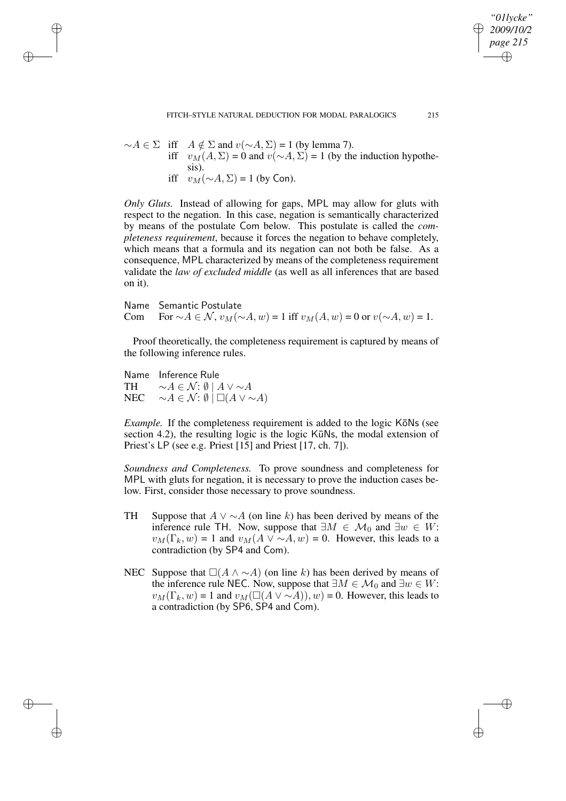$∼A \in \Sigma$  iff  $A \notin \Sigma$  and  $v(∼A, \Sigma) = 1$  (by lemma 7). iff  $v_M(A, \Sigma) = 0$  and  $v(\sim A, \Sigma) = 1$  (by the induction hypothesis). iff  $v_M(\sim A, \Sigma) = 1$  (by Con).

*Only Gluts.* Instead of allowing for gaps, MPL may allow for gluts with respect to the negation. In this case, negation is semantically characterized by means of the postulate Com below. This postulate is called the *completeness requirement*, because it forces the negation to behave completely, which means that a formula and its negation can not both be false. As a consequence, MPL characterized by means of the completeness requirement validate the *law of excluded middle* (as well as all inferences that are based on it).

Name Semantic Postulate Com For  $∼A \in \mathcal{N}$ ,  $v_M(∼A, w) = 1$  iff  $v_M(A, w) = 0$  or  $v(∼A, w) = 1$ .

Proof theoretically, the completeness requirement is captured by means of the following inference rules.

Name Inference Rule TH  $\sim A \in \mathcal{N}: \emptyset \mid A \vee \sim A$ NEC  $\sim A \in \mathcal{N}: \emptyset \mid \Box(A \vee \sim A)$ 

✐

✐

✐

✐

*Example.* If the completeness requirement is added to the logic KōNs (see section 4.2), the resulting logic is the logic  $K\bar{u}$ Ns, the modal extension of Priest's LP (see e.g. Priest [15] and Priest [17, ch. 7]).

*Soundness and Completeness.* To prove soundness and completeness for MPL with gluts for negation, it is necessary to prove the induction cases below. First, consider those necessary to prove soundness.

- TH Suppose that  $A \vee \sim A$  (on line k) has been derived by means of the inference rule TH. Now, suppose that  $\exists M \in \mathcal{M}_0$  and  $\exists w \in W$ :  $v_M(\Gamma_k, w) = 1$  and  $v_M(A \vee \sim A, w) = 0$ . However, this leads to a contradiction (by SP4 and Com).
- NEC Suppose that  $\Box(A \land \neg A)$  (on line k) has been derived by means of the inference rule NEC. Now, suppose that  $\exists M \in \mathcal{M}_0$  and  $\exists w \in W$ :  $v_M(\Gamma_k, w) = 1$  and  $v_M(\square(A \vee \sim A)), w) = 0$ . However, this leads to a contradiction (by SP6, SP4 and Com).

*"01lycke" 2009/10/2 page 215*

✐

✐

✐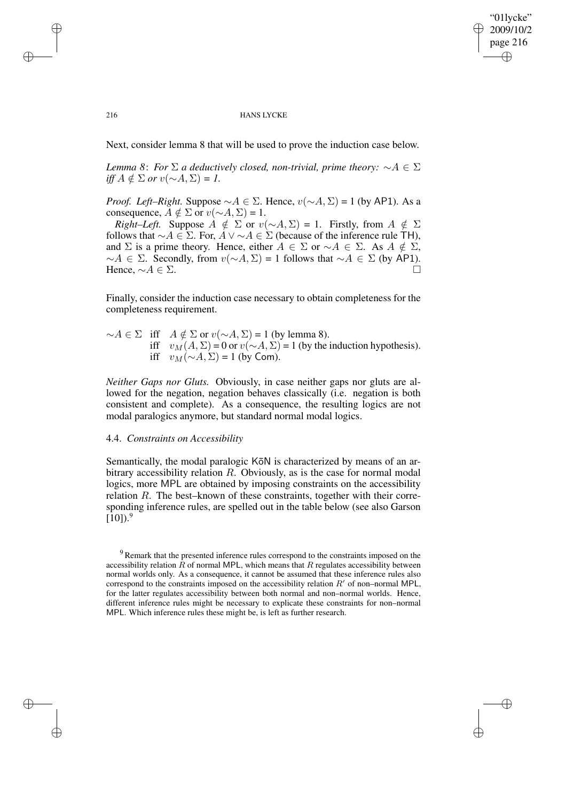✐

#### 216 HANS LYCKE

Next, consider lemma 8 that will be used to prove the induction case below.

*Lemma* 8: *For*  $\Sigma$  *a deductively closed, non-trivial, prime theory:*  $\sim A \in \Sigma$ *iff*  $A \notin \Sigma$  *or*  $v(∼A, ∑) = 1$ .

*Proof. Left–Right.* Suppose  $\sim A \in \Sigma$ . Hence,  $v(\sim A, \Sigma) = 1$  (by AP1). As a consequence,  $A \notin \Sigma$  or  $v(\sim A, \Sigma) = 1$ .

*Right–Left.* Suppose  $A \notin \Sigma$  or  $v(\sim A, \Sigma) = 1$ . Firstly, from  $A \notin \Sigma$ follows that  $\sim A \in \Sigma$ . For,  $A \vee \sim A \in \Sigma$  (because of the inference rule TH), and  $\Sigma$  is a prime theory. Hence, either  $A \in \Sigma$  or  $\sim A \in \Sigma$ . As  $A \notin \Sigma$ ,  $∼A \in \Sigma$ . Secondly, from  $v(∼A, \Sigma) = 1$  follows that  $∼A \in \Sigma$  (by AP1). Hence,  $\sim A \in \Sigma$ .

Finally, consider the induction case necessary to obtain completeness for the completeness requirement.

 $∼A \in \Sigma$  iff  $A \notin \Sigma$  or  $v(∼A, \Sigma) = 1$  (by lemma 8). iff  $v_M(A, Σ) = 0$  or  $v(∼A, Σ) = 1$  (by the induction hypothesis). iff  $v_M(\sim A, \Sigma) = 1$  (by Com).

*Neither Gaps nor Gluts.* Obviously, in case neither gaps nor gluts are allowed for the negation, negation behaves classically (i.e. negation is both consistent and complete). As a consequence, the resulting logics are not modal paralogics anymore, but standard normal modal logics.

## 4.4. *Constraints on Accessibility*

Semantically, the modal paralogic K $\bar{\sigma}$ N is characterized by means of an arbitrary accessibility relation R. Obviously, as is the case for normal modal logics, more MPL are obtained by imposing constraints on the accessibility relation R. The best–known of these constraints, together with their corresponding inference rules, are spelled out in the table below (see also Garson  $[10]$ .<sup>9</sup>

✐

✐

✐

<sup>&</sup>lt;sup>9</sup> Remark that the presented inference rules correspond to the constraints imposed on the accessibility relation  $R$  of normal MPL, which means that  $R$  regulates accessibility between normal worlds only. As a consequence, it cannot be assumed that these inference rules also correspond to the constraints imposed on the accessibility relation  $R'$  of non–normal MPL, for the latter regulates accessibility between both normal and non–normal worlds. Hence, different inference rules might be necessary to explicate these constraints for non–normal MPL. Which inference rules these might be, is left as further research.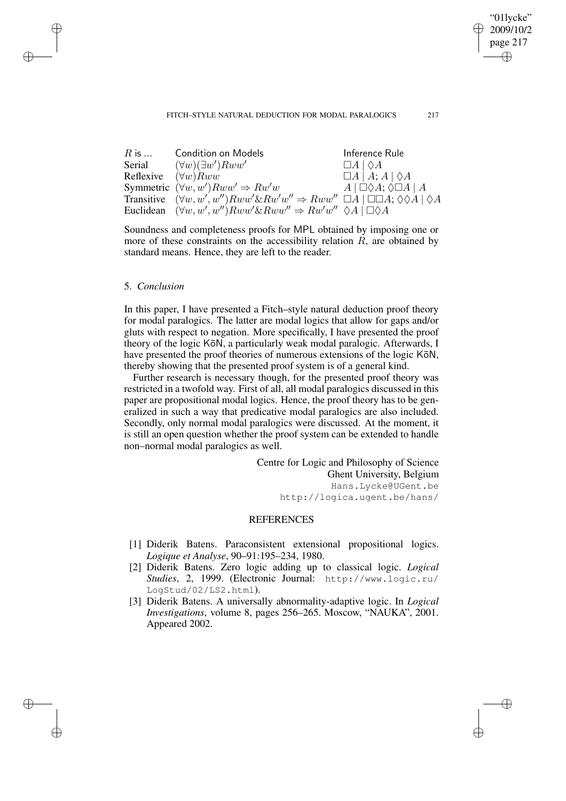### FITCH–STYLE NATURAL DEDUCTION FOR MODAL PARALOGICS 217

"01lycke" 2009/10/2 page 217

✐

✐

✐

✐

| $R$ is                     | <b>Condition on Models</b>                                                                                       | Inference Rule                                      |
|----------------------------|------------------------------------------------------------------------------------------------------------------|-----------------------------------------------------|
| Serial                     | $(\forall w)(\exists w')Rww'$                                                                                    | $\Box A \mid \Diamond A$                            |
| Reflexive $(\forall w)Rww$ |                                                                                                                  | $\Box A \,   \, A; A \,   \, \Diamond A$            |
|                            | Symmetric $(\forall w, w')Rww' \Rightarrow Rw'w$                                                                 | $A \mid \Box \Diamond A$ ; $\Diamond \Box A \mid A$ |
|                            | Transitive $(\forall w, w', w'')Rww' \& Rw'w'' \Rightarrow Rww'' \Box A \Box \Box A; \Diamond \Diamond A \Box A$ |                                                     |
|                            | Euclidean $(\forall w, w', w'')Rww' \& Rww'' \Rightarrow Rw'w'' \& A \Box \& A$                                  |                                                     |

Soundness and completeness proofs for MPL obtained by imposing one or more of these constraints on the accessibility relation  $R$ , are obtained by standard means. Hence, they are left to the reader.

## 5. *Conclusion*

✐

✐

✐

✐

In this paper, I have presented a Fitch–style natural deduction proof theory for modal paralogics. The latter are modal logics that allow for gaps and/or gluts with respect to negation. More specifically, I have presented the proof theory of the logic KōN, a particularly weak modal paralogic. Afterwards, I have presented the proof theories of numerous extensions of the logic KōN, thereby showing that the presented proof system is of a general kind.

Further research is necessary though, for the presented proof theory was restricted in a twofold way. First of all, all modal paralogics discussed in this paper are propositional modal logics. Hence, the proof theory has to be generalized in such a way that predicative modal paralogics are also included. Secondly, only normal modal paralogics were discussed. At the moment, it is still an open question whether the proof system can be extended to handle non–normal modal paralogics as well.

> Centre for Logic and Philosophy of Science Ghent University, Belgium Hans.Lycke@UGent.be http://logica.ugent.be/hans/

# **REFERENCES**

- [1] Diderik Batens. Paraconsistent extensional propositional logics. *Logique et Analyse*, 90–91:195–234, 1980.
- [2] Diderik Batens. Zero logic adding up to classical logic. *Logical Studies*, 2, 1999. (Electronic Journal: http://www.logic.ru/ LogStud/02/LS2.html).
- [3] Diderik Batens. A universally abnormality-adaptive logic. In *Logical Investigations*, volume 8, pages 256–265. Moscow, "NAUKA", 2001. Appeared 2002.